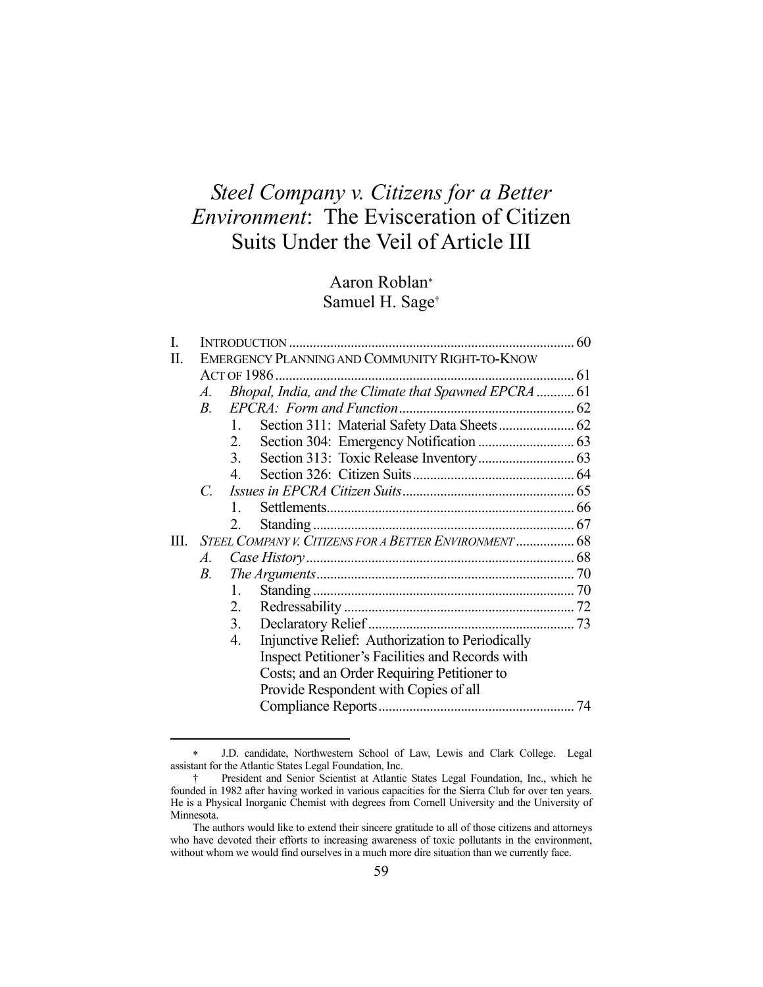# *Steel Company v. Citizens for a Better Environment*: The Evisceration of Citizen Suits Under the Veil of Article III

# Aaron Roblan Samuel H. Sage†

| I. |                                                |                |                                                        |  |  |  |
|----|------------------------------------------------|----------------|--------------------------------------------------------|--|--|--|
| П. | EMERGENCY PLANNING AND COMMUNITY RIGHT-TO-KNOW |                |                                                        |  |  |  |
|    |                                                |                |                                                        |  |  |  |
|    | A.                                             |                | Bhopal, India, and the Climate that Spawned EPCRA  61  |  |  |  |
|    | $B_{\cdot}$                                    |                |                                                        |  |  |  |
|    |                                                | $\mathbf{1}$ . |                                                        |  |  |  |
|    |                                                | 2.             |                                                        |  |  |  |
|    |                                                | 3.             |                                                        |  |  |  |
|    |                                                | 4.             |                                                        |  |  |  |
|    | $\mathcal{C}$ .                                |                |                                                        |  |  |  |
|    |                                                | $1_{-}$        |                                                        |  |  |  |
|    |                                                | 2.             |                                                        |  |  |  |
| Ш. |                                                |                | STEEL COMPANY V. CITIZENS FOR A BETTER ENVIRONMENT  68 |  |  |  |
|    | A.                                             |                |                                                        |  |  |  |
|    | В.                                             |                |                                                        |  |  |  |
|    |                                                | 1.             |                                                        |  |  |  |
|    |                                                | 2.             |                                                        |  |  |  |
|    |                                                | 3.             |                                                        |  |  |  |
|    |                                                | 4.             | Injunctive Relief: Authorization to Periodically       |  |  |  |
|    |                                                |                | Inspect Petitioner's Facilities and Records with       |  |  |  |
|    |                                                |                | Costs; and an Order Requiring Petitioner to            |  |  |  |
|    |                                                |                | Provide Respondent with Copies of all                  |  |  |  |
|    |                                                |                |                                                        |  |  |  |
|    |                                                |                |                                                        |  |  |  |

J.D. candidate, Northwestern School of Law, Lewis and Clark College. Legal assistant for the Atlantic States Legal Foundation, Inc.

 <sup>†</sup> President and Senior Scientist at Atlantic States Legal Foundation, Inc., which he founded in 1982 after having worked in various capacities for the Sierra Club for over ten years. He is a Physical Inorganic Chemist with degrees from Cornell University and the University of Minnesota.

The authors would like to extend their sincere gratitude to all of those citizens and attorneys who have devoted their efforts to increasing awareness of toxic pollutants in the environment, without whom we would find ourselves in a much more dire situation than we currently face.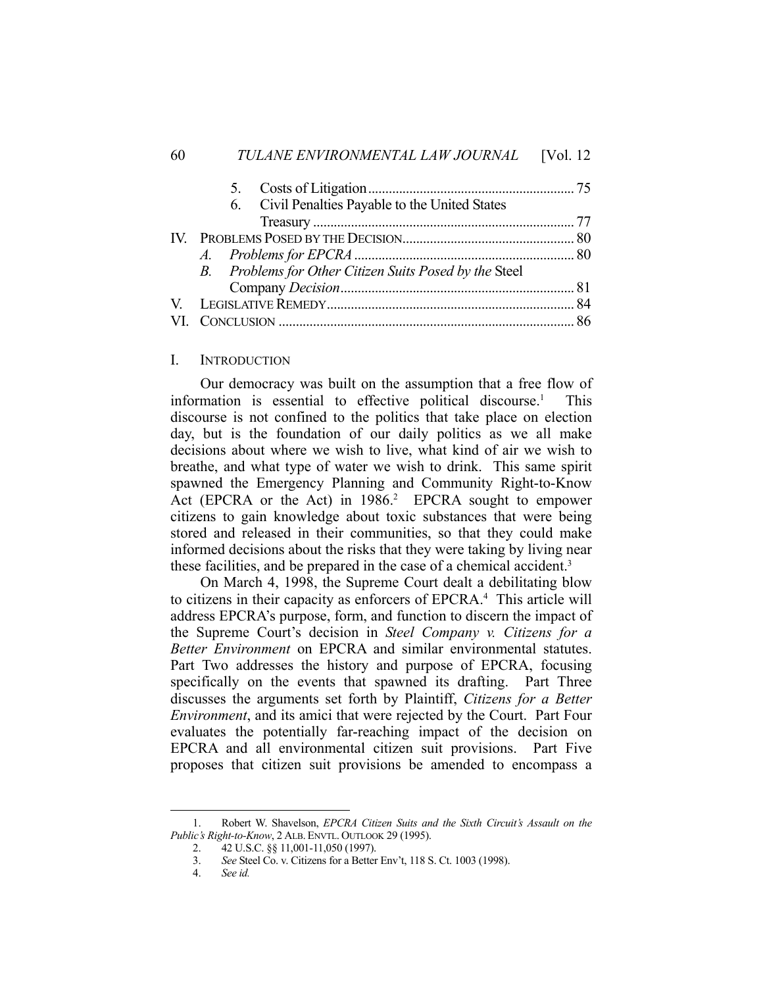|  |  | 6. Civil Penalties Payable to the United States        |  |  |
|--|--|--------------------------------------------------------|--|--|
|  |  |                                                        |  |  |
|  |  |                                                        |  |  |
|  |  |                                                        |  |  |
|  |  | B. Problems for Other Citizen Suits Posed by the Steel |  |  |
|  |  |                                                        |  |  |
|  |  |                                                        |  |  |
|  |  |                                                        |  |  |

#### I. INTRODUCTION

 Our democracy was built on the assumption that a free flow of information is essential to effective political discourse.<sup>1</sup> This discourse is not confined to the politics that take place on election day, but is the foundation of our daily politics as we all make decisions about where we wish to live, what kind of air we wish to breathe, and what type of water we wish to drink. This same spirit spawned the Emergency Planning and Community Right-to-Know Act (EPCRA or the Act) in  $1986.2$  EPCRA sought to empower citizens to gain knowledge about toxic substances that were being stored and released in their communities, so that they could make informed decisions about the risks that they were taking by living near these facilities, and be prepared in the case of a chemical accident.<sup>3</sup>

 On March 4, 1998, the Supreme Court dealt a debilitating blow to citizens in their capacity as enforcers of EPCRA.<sup>4</sup> This article will address EPCRA's purpose, form, and function to discern the impact of the Supreme Court's decision in *Steel Company v. Citizens for a Better Environment* on EPCRA and similar environmental statutes. Part Two addresses the history and purpose of EPCRA, focusing specifically on the events that spawned its drafting. Part Three discusses the arguments set forth by Plaintiff, *Citizens for a Better Environment*, and its amici that were rejected by the Court. Part Four evaluates the potentially far-reaching impact of the decision on EPCRA and all environmental citizen suit provisions. Part Five proposes that citizen suit provisions be amended to encompass a

 <sup>1.</sup> Robert W. Shavelson, *EPCRA Citizen Suits and the Sixth Circuit's Assault on the Public's Right-to-Know*, 2 ALB. ENVTL. OUTLOOK 29 (1995).

 <sup>2. 42</sup> U.S.C. §§ 11,001-11,050 (1997).

 <sup>3.</sup> *See* Steel Co. v. Citizens for a Better Env't, 118 S. Ct. 1003 (1998).

 <sup>4.</sup> *See id.*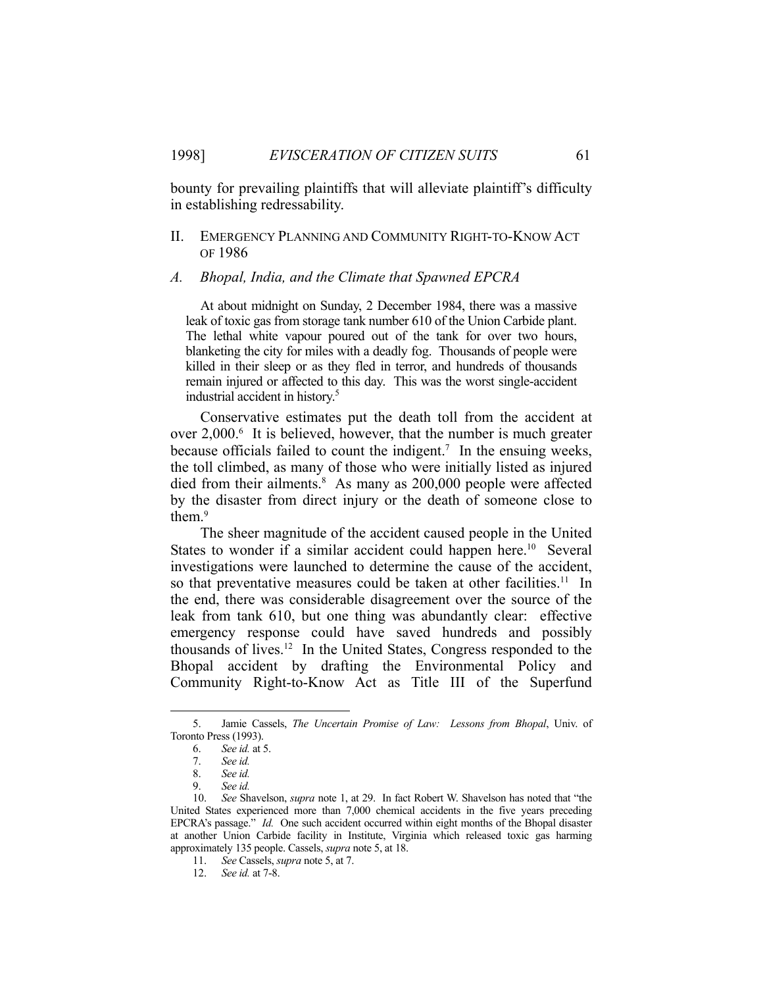bounty for prevailing plaintiffs that will alleviate plaintiff's difficulty in establishing redressability.

# II. EMERGENCY PLANNING AND COMMUNITY RIGHT-TO-KNOW ACT OF 1986

#### *A. Bhopal, India, and the Climate that Spawned EPCRA*

 At about midnight on Sunday, 2 December 1984, there was a massive leak of toxic gas from storage tank number 610 of the Union Carbide plant. The lethal white vapour poured out of the tank for over two hours, blanketing the city for miles with a deadly fog. Thousands of people were killed in their sleep or as they fled in terror, and hundreds of thousands remain injured or affected to this day. This was the worst single-accident industrial accident in history.5

 Conservative estimates put the death toll from the accident at over 2,000.<sup>6</sup> It is believed, however, that the number is much greater because officials failed to count the indigent.<sup>7</sup> In the ensuing weeks, the toll climbed, as many of those who were initially listed as injured died from their ailments.<sup>8</sup> As many as 200,000 people were affected by the disaster from direct injury or the death of someone close to them.9

 The sheer magnitude of the accident caused people in the United States to wonder if a similar accident could happen here.<sup>10</sup> Several investigations were launched to determine the cause of the accident, so that preventative measures could be taken at other facilities.<sup>11</sup> In the end, there was considerable disagreement over the source of the leak from tank 610, but one thing was abundantly clear: effective emergency response could have saved hundreds and possibly thousands of lives.12 In the United States, Congress responded to the Bhopal accident by drafting the Environmental Policy and Community Right-to-Know Act as Title III of the Superfund

 <sup>5.</sup> Jamie Cassels, *The Uncertain Promise of Law: Lessons from Bhopal*, Univ. of Toronto Press (1993).

 <sup>6.</sup> *See id.* at 5.

 <sup>7.</sup> *See id.* 

 <sup>8.</sup> *See id.* 

 <sup>9.</sup> *See id.* 

 <sup>10.</sup> *See* Shavelson, *supra* note 1, at 29. In fact Robert W. Shavelson has noted that "the United States experienced more than 7,000 chemical accidents in the five years preceding EPCRA's passage." *Id.* One such accident occurred within eight months of the Bhopal disaster at another Union Carbide facility in Institute, Virginia which released toxic gas harming approximately 135 people. Cassels, *supra* note 5, at 18.

 <sup>11.</sup> *See* Cassels, *supra* note 5, at 7.

 <sup>12.</sup> *See id.* at 7-8.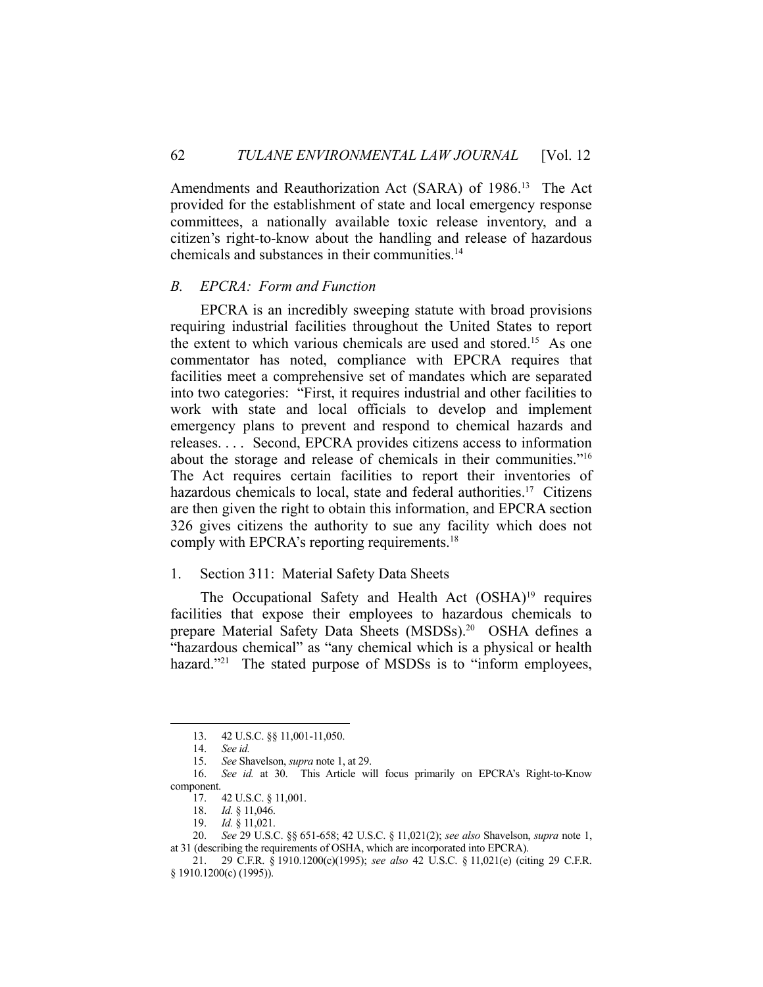Amendments and Reauthorization Act (SARA) of 1986.<sup>13</sup> The Act provided for the establishment of state and local emergency response committees, a nationally available toxic release inventory, and a citizen's right-to-know about the handling and release of hazardous chemicals and substances in their communities.14

#### *B. EPCRA: Form and Function*

 EPCRA is an incredibly sweeping statute with broad provisions requiring industrial facilities throughout the United States to report the extent to which various chemicals are used and stored.15 As one commentator has noted, compliance with EPCRA requires that facilities meet a comprehensive set of mandates which are separated into two categories: "First, it requires industrial and other facilities to work with state and local officials to develop and implement emergency plans to prevent and respond to chemical hazards and releases. . . . Second, EPCRA provides citizens access to information about the storage and release of chemicals in their communities."16 The Act requires certain facilities to report their inventories of hazardous chemicals to local, state and federal authorities.<sup>17</sup> Citizens are then given the right to obtain this information, and EPCRA section 326 gives citizens the authority to sue any facility which does not comply with EPCRA's reporting requirements.18

# 1. Section 311: Material Safety Data Sheets

The Occupational Safety and Health Act (OSHA)<sup>19</sup> requires facilities that expose their employees to hazardous chemicals to prepare Material Safety Data Sheets (MSDSs).<sup>20</sup> OSHA defines a "hazardous chemical" as "any chemical which is a physical or health hazard."<sup>21</sup> The stated purpose of MSDSs is to "inform employees,

 <sup>13. 42</sup> U.S.C. §§ 11,001-11,050.

 <sup>14.</sup> *See id.* 

 <sup>15.</sup> *See* Shavelson, *supra* note 1, at 29.

 <sup>16.</sup> *See id.* at 30. This Article will focus primarily on EPCRA's Right-to-Know component.

 <sup>17. 42</sup> U.S.C. § 11,001.

 <sup>18.</sup> *Id.* § 11,046.

 <sup>19.</sup> *Id.* § 11,021.

 <sup>20.</sup> *See* 29 U.S.C. §§ 651-658; 42 U.S.C. § 11,021(2); *see also* Shavelson, *supra* note 1, at 31 (describing the requirements of OSHA, which are incorporated into EPCRA).

 <sup>21. 29</sup> C.F.R. § 1910.1200(c)(1995); *see also* 42 U.S.C. § 11,021(e) (citing 29 C.F.R. § 1910.1200(c) (1995)).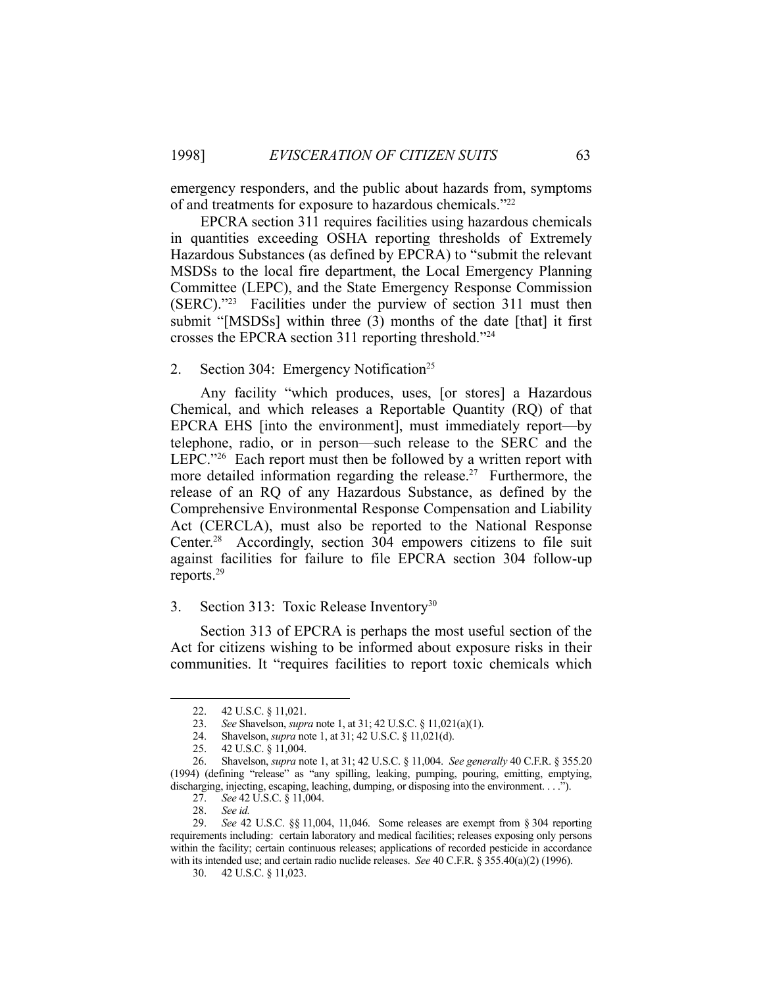emergency responders, and the public about hazards from, symptoms of and treatments for exposure to hazardous chemicals."22

 EPCRA section 311 requires facilities using hazardous chemicals in quantities exceeding OSHA reporting thresholds of Extremely Hazardous Substances (as defined by EPCRA) to "submit the relevant MSDSs to the local fire department, the Local Emergency Planning Committee (LEPC), and the State Emergency Response Commission (SERC)."23 Facilities under the purview of section 311 must then submit "[MSDSs] within three (3) months of the date [that] it first crosses the EPCRA section 311 reporting threshold."24

#### 2. Section 304: Emergency Notification<sup>25</sup>

 Any facility "which produces, uses, [or stores] a Hazardous Chemical, and which releases a Reportable Quantity (RQ) of that EPCRA EHS [into the environment], must immediately report—by telephone, radio, or in person—such release to the SERC and the LEPC."<sup>26</sup> Each report must then be followed by a written report with more detailed information regarding the release.<sup>27</sup> Furthermore, the release of an RQ of any Hazardous Substance, as defined by the Comprehensive Environmental Response Compensation and Liability Act (CERCLA), must also be reported to the National Response Center.28 Accordingly, section 304 empowers citizens to file suit against facilities for failure to file EPCRA section 304 follow-up reports.29

#### 3. Section 313: Toxic Release Inventory<sup>30</sup>

 Section 313 of EPCRA is perhaps the most useful section of the Act for citizens wishing to be informed about exposure risks in their communities. It "requires facilities to report toxic chemicals which

 <sup>22. 42</sup> U.S.C. § 11,021.

 <sup>23.</sup> *See* Shavelson, *supra* note 1, at 31; 42 U.S.C. § 11,021(a)(1).

 <sup>24.</sup> Shavelson, *supra* note 1, at 31; 42 U.S.C. § 11,021(d).

 <sup>25. 42</sup> U.S.C. § 11,004.

 <sup>26.</sup> Shavelson, *supra* note 1, at 31; 42 U.S.C. § 11,004. *See generally* 40 C.F.R. § 355.20 (1994) (defining "release" as "any spilling, leaking, pumping, pouring, emitting, emptying, discharging, injecting, escaping, leaching, dumping, or disposing into the environment. . . .").

 <sup>27.</sup> *See* 42 U.S.C. § 11,004.

 <sup>28.</sup> *See id.*

 <sup>29.</sup> *See* 42 U.S.C. §§ 11,004, 11,046. Some releases are exempt from § 304 reporting requirements including: certain laboratory and medical facilities; releases exposing only persons within the facility; certain continuous releases; applications of recorded pesticide in accordance with its intended use; and certain radio nuclide releases. *See* 40 C.F.R. § 355.40(a)(2) (1996).

 <sup>30. 42</sup> U.S.C. § 11,023.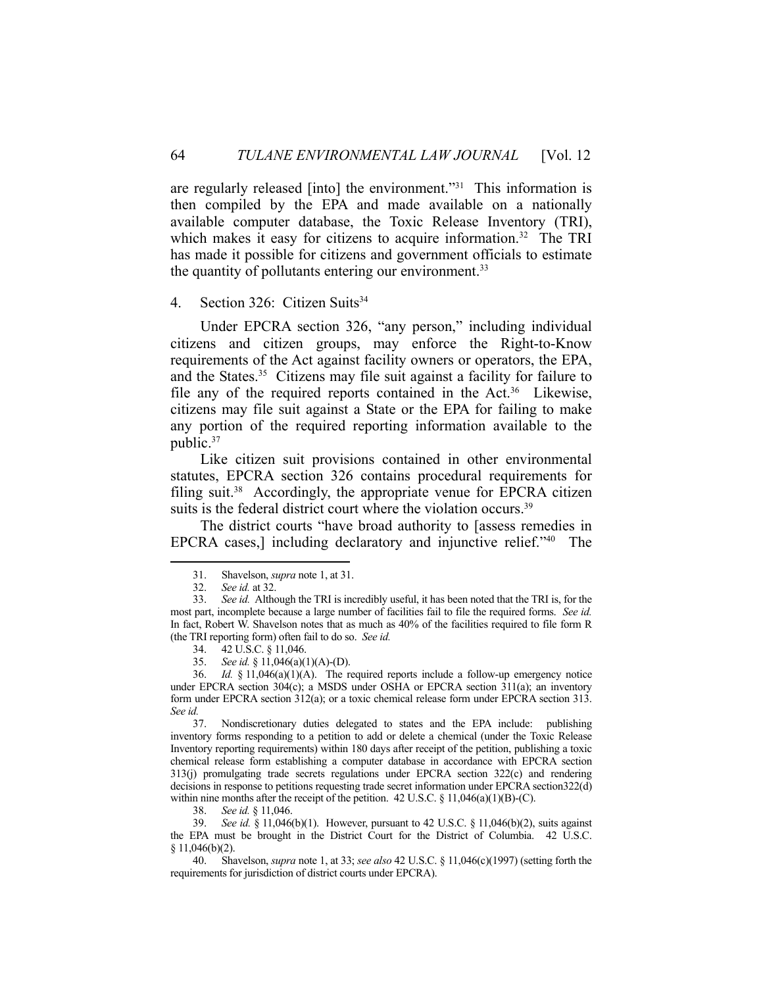are regularly released [into] the environment."31 This information is then compiled by the EPA and made available on a nationally available computer database, the Toxic Release Inventory (TRI), which makes it easy for citizens to acquire information.<sup>32</sup> The TRI has made it possible for citizens and government officials to estimate the quantity of pollutants entering our environment.<sup>33</sup>

#### 4. Section 326: Citizen Suits<sup>34</sup>

 Under EPCRA section 326, "any person," including individual citizens and citizen groups, may enforce the Right-to-Know requirements of the Act against facility owners or operators, the EPA, and the States.<sup>35</sup> Citizens may file suit against a facility for failure to file any of the required reports contained in the Act.<sup>36</sup> Likewise, citizens may file suit against a State or the EPA for failing to make any portion of the required reporting information available to the public.<sup>37</sup>

 Like citizen suit provisions contained in other environmental statutes, EPCRA section 326 contains procedural requirements for filing suit.<sup>38</sup> Accordingly, the appropriate venue for EPCRA citizen suits is the federal district court where the violation occurs.<sup>39</sup>

 The district courts "have broad authority to [assess remedies in EPCRA cases,] including declaratory and injunctive relief."40 The

<u>.</u>

38. *See id.* § 11,046.

 39. *See id.* § 11,046(b)(1). However, pursuant to 42 U.S.C. § 11,046(b)(2), suits against the EPA must be brought in the District Court for the District of Columbia. 42 U.S.C. § 11,046(b)(2).

 40. Shavelson, *supra* note 1, at 33; *see also* 42 U.S.C. § 11,046(c)(1997) (setting forth the requirements for jurisdiction of district courts under EPCRA).

 <sup>31.</sup> Shavelson, *supra* note 1, at 31.

 <sup>32.</sup> *See id.* at 32.

 <sup>33.</sup> *See id.* Although the TRI is incredibly useful, it has been noted that the TRI is, for the most part, incomplete because a large number of facilities fail to file the required forms. *See id.* In fact, Robert W. Shavelson notes that as much as 40% of the facilities required to file form R (the TRI reporting form) often fail to do so. *See id.*

 <sup>34. 42</sup> U.S.C. § 11,046.

 <sup>35.</sup> *See id.* § 11,046(a)(1)(A)-(D).

 <sup>36.</sup> *Id.* § 11,046(a)(1)(A). The required reports include a follow-up emergency notice under EPCRA section 304(c); a MSDS under OSHA or EPCRA section 311(a); an inventory form under EPCRA section 312(a); or a toxic chemical release form under EPCRA section 313. *See id.*

 <sup>37.</sup> Nondiscretionary duties delegated to states and the EPA include: publishing inventory forms responding to a petition to add or delete a chemical (under the Toxic Release Inventory reporting requirements) within 180 days after receipt of the petition, publishing a toxic chemical release form establishing a computer database in accordance with EPCRA section 313(j) promulgating trade secrets regulations under EPCRA section 322(c) and rendering decisions in response to petitions requesting trade secret information under EPCRA section322(d) within nine months after the receipt of the petition. 42 U.S.C.  $\S 11,046(a)(1)(B)-(C)$ .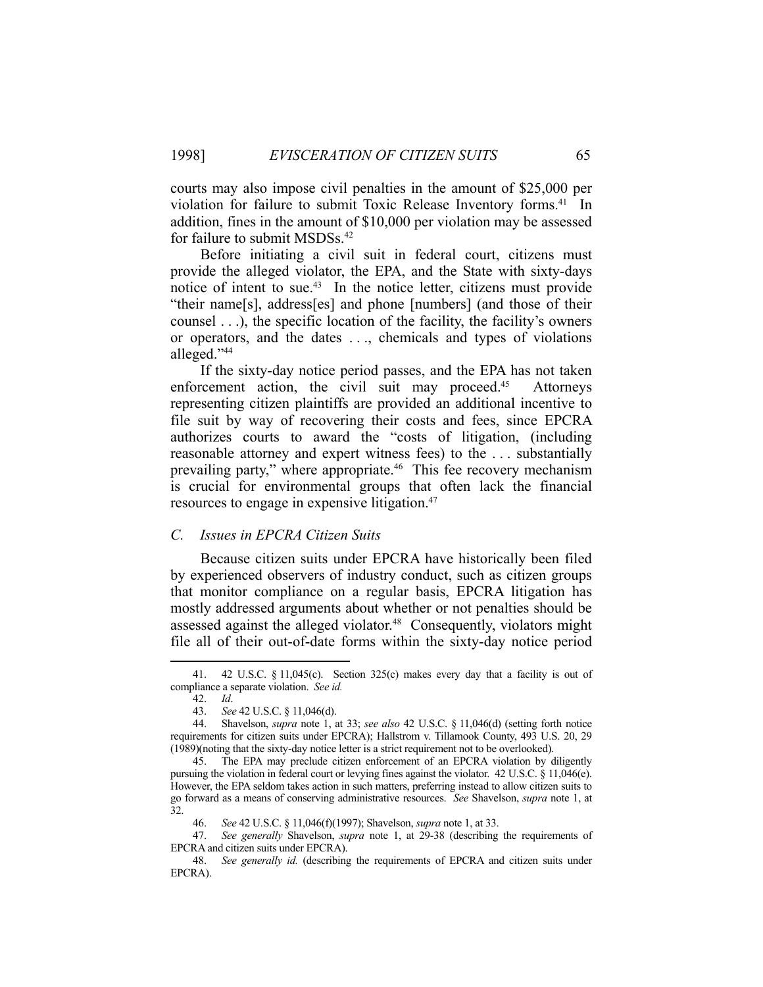courts may also impose civil penalties in the amount of \$25,000 per violation for failure to submit Toxic Release Inventory forms.<sup>41</sup> In addition, fines in the amount of \$10,000 per violation may be assessed for failure to submit MSDSs.<sup>42</sup>

 Before initiating a civil suit in federal court, citizens must provide the alleged violator, the EPA, and the State with sixty-days notice of intent to sue.<sup>43</sup> In the notice letter, citizens must provide "their name[s], address[es] and phone [numbers] (and those of their counsel . . .), the specific location of the facility, the facility's owners or operators, and the dates . . ., chemicals and types of violations alleged."44

 If the sixty-day notice period passes, and the EPA has not taken enforcement action, the civil suit may proceed.<sup>45</sup> Attorneys representing citizen plaintiffs are provided an additional incentive to file suit by way of recovering their costs and fees, since EPCRA authorizes courts to award the "costs of litigation, (including reasonable attorney and expert witness fees) to the . . . substantially prevailing party," where appropriate.<sup>46</sup> This fee recovery mechanism is crucial for environmental groups that often lack the financial resources to engage in expensive litigation.47

# *C. Issues in EPCRA Citizen Suits*

 Because citizen suits under EPCRA have historically been filed by experienced observers of industry conduct, such as citizen groups that monitor compliance on a regular basis, EPCRA litigation has mostly addressed arguments about whether or not penalties should be assessed against the alleged violator.<sup>48</sup> Consequently, violators might file all of their out-of-date forms within the sixty-day notice period

 <sup>41. 42</sup> U.S.C. § 11,045(c). Section 325(c) makes every day that a facility is out of compliance a separate violation. *See id.*

 <sup>42.</sup> *Id*.

 <sup>43.</sup> *See* 42 U.S.C. § 11,046(d).

 <sup>44.</sup> Shavelson, *supra* note 1, at 33; *see also* 42 U.S.C. § 11,046(d) (setting forth notice requirements for citizen suits under EPCRA); Hallstrom v. Tillamook County, 493 U.S. 20, 29 (1989)(noting that the sixty-day notice letter is a strict requirement not to be overlooked).

 <sup>45.</sup> The EPA may preclude citizen enforcement of an EPCRA violation by diligently pursuing the violation in federal court or levying fines against the violator. 42 U.S.C. § 11,046(e). However, the EPA seldom takes action in such matters, preferring instead to allow citizen suits to go forward as a means of conserving administrative resources. *See* Shavelson, *supra* note 1, at 32.

 <sup>46.</sup> *See* 42 U.S.C. § 11,046(f)(1997); Shavelson, *supra* note 1, at 33.

 <sup>47.</sup> *See generally* Shavelson, *supra* note 1, at 29-38 (describing the requirements of EPCRA and citizen suits under EPCRA).

 <sup>48.</sup> *See generally id.* (describing the requirements of EPCRA and citizen suits under EPCRA).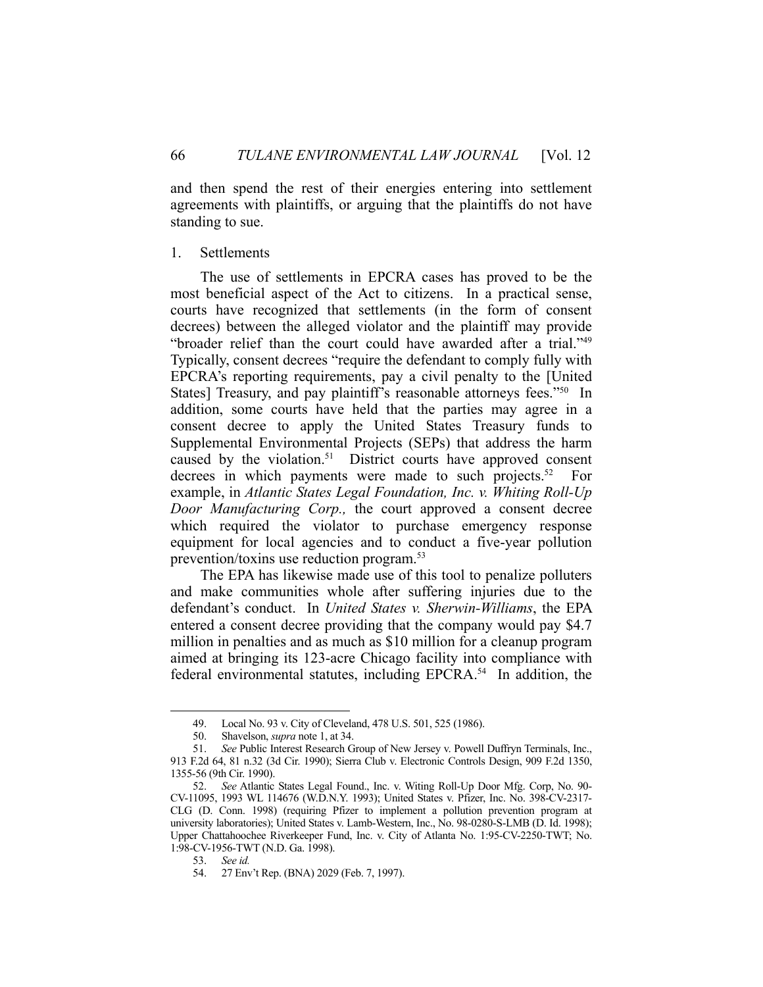and then spend the rest of their energies entering into settlement agreements with plaintiffs, or arguing that the plaintiffs do not have standing to sue.

# 1. Settlements

 The use of settlements in EPCRA cases has proved to be the most beneficial aspect of the Act to citizens. In a practical sense, courts have recognized that settlements (in the form of consent decrees) between the alleged violator and the plaintiff may provide "broader relief than the court could have awarded after a trial."49 Typically, consent decrees "require the defendant to comply fully with EPCRA's reporting requirements, pay a civil penalty to the [United States] Treasury, and pay plaintiff's reasonable attorneys fees."<sup>50</sup> In addition, some courts have held that the parties may agree in a consent decree to apply the United States Treasury funds to Supplemental Environmental Projects (SEPs) that address the harm caused by the violation.<sup>51</sup> District courts have approved consent decrees in which payments were made to such projects.<sup>52</sup> For example, in *Atlantic States Legal Foundation, Inc. v. Whiting Roll-Up Door Manufacturing Corp.,* the court approved a consent decree which required the violator to purchase emergency response equipment for local agencies and to conduct a five-year pollution prevention/toxins use reduction program.53

 The EPA has likewise made use of this tool to penalize polluters and make communities whole after suffering injuries due to the defendant's conduct. In *United States v. Sherwin-Williams*, the EPA entered a consent decree providing that the company would pay \$4.7 million in penalties and as much as \$10 million for a cleanup program aimed at bringing its 123-acre Chicago facility into compliance with federal environmental statutes, including EPCRA.<sup>54</sup> In addition, the

 <sup>49.</sup> Local No. 93 v. City of Cleveland, 478 U.S. 501, 525 (1986).

 <sup>50.</sup> Shavelson, *supra* note 1, at 34.

 <sup>51.</sup> *See* Public Interest Research Group of New Jersey v. Powell Duffryn Terminals, Inc., 913 F.2d 64, 81 n.32 (3d Cir. 1990); Sierra Club v. Electronic Controls Design, 909 F.2d 1350, 1355-56 (9th Cir. 1990).

 <sup>52.</sup> *See* Atlantic States Legal Found., Inc. v. Witing Roll-Up Door Mfg. Corp, No. 90- CV-11095, 1993 WL 114676 (W.D.N.Y. 1993); United States v. Pfizer, Inc. No. 398-CV-2317- CLG (D. Conn. 1998) (requiring Pfizer to implement a pollution prevention program at university laboratories); United States v. Lamb-Western, Inc., No. 98-0280-S-LMB (D. Id. 1998); Upper Chattahoochee Riverkeeper Fund, Inc. v. City of Atlanta No. 1:95-CV-2250-TWT; No. 1:98-CV-1956-TWT (N.D. Ga. 1998).

 <sup>53.</sup> *See id.* 

 <sup>54. 27</sup> Env't Rep. (BNA) 2029 (Feb. 7, 1997).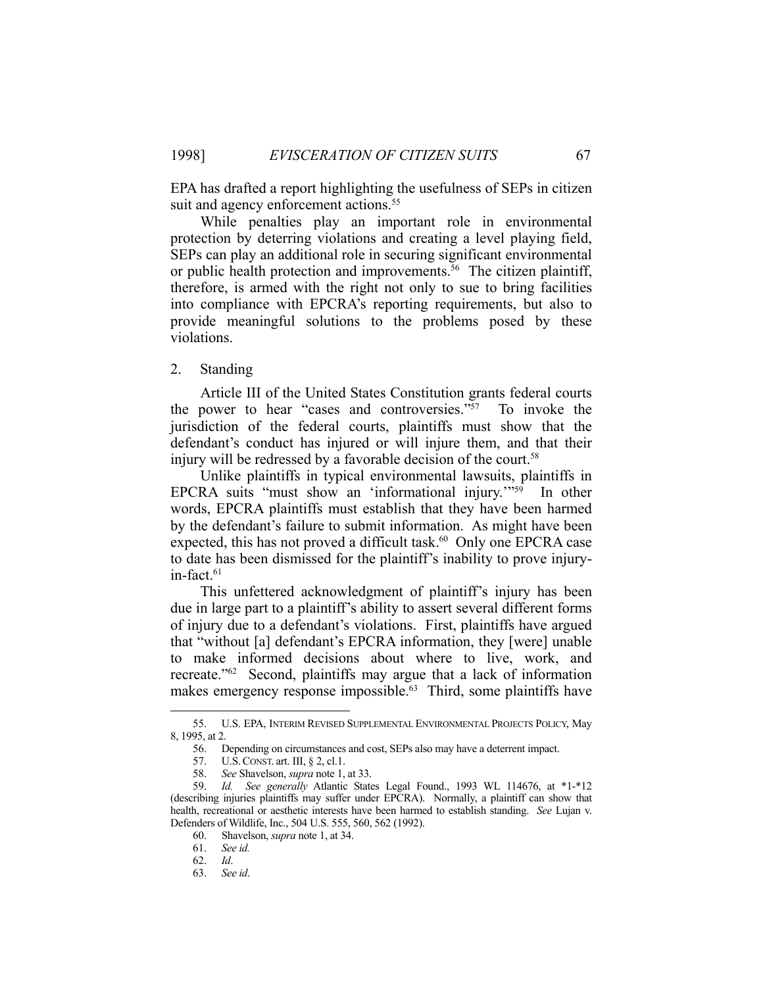EPA has drafted a report highlighting the usefulness of SEPs in citizen suit and agency enforcement actions.<sup>55</sup>

 While penalties play an important role in environmental protection by deterring violations and creating a level playing field, SEPs can play an additional role in securing significant environmental or public health protection and improvements.<sup>56</sup> The citizen plaintiff, therefore, is armed with the right not only to sue to bring facilities into compliance with EPCRA's reporting requirements, but also to provide meaningful solutions to the problems posed by these violations.

2. Standing

 Article III of the United States Constitution grants federal courts the power to hear "cases and controversies."57 To invoke the jurisdiction of the federal courts, plaintiffs must show that the defendant's conduct has injured or will injure them, and that their injury will be redressed by a favorable decision of the court.<sup>58</sup>

 Unlike plaintiffs in typical environmental lawsuits, plaintiffs in EPCRA suits "must show an 'informational injury.'"59 In other words, EPCRA plaintiffs must establish that they have been harmed by the defendant's failure to submit information. As might have been expected, this has not proved a difficult task.<sup>60</sup> Only one EPCRA case to date has been dismissed for the plaintiff's inability to prove injuryin-fact.<sup>61</sup>

 This unfettered acknowledgment of plaintiff's injury has been due in large part to a plaintiff's ability to assert several different forms of injury due to a defendant's violations. First, plaintiffs have argued that "without [a] defendant's EPCRA information, they [were] unable to make informed decisions about where to live, work, and recreate."62 Second, plaintiffs may argue that a lack of information makes emergency response impossible.<sup>63</sup> Third, some plaintiffs have

 <sup>55.</sup> U.S. EPA, INTERIM REVISED SUPPLEMENTAL ENVIRONMENTAL PROJECTS POLICY, May 8, 1995, at 2.

 <sup>56.</sup> Depending on circumstances and cost, SEPs also may have a deterrent impact.

 <sup>57.</sup> U.S.CONST. art. III, § 2, cl.1.

 <sup>58.</sup> *See* Shavelson, *supra* note 1, at 33.

 <sup>59.</sup> *Id. See generally* Atlantic States Legal Found., 1993 WL 114676, at \*1-\*12 (describing injuries plaintiffs may suffer under EPCRA). Normally, a plaintiff can show that health, recreational or aesthetic interests have been harmed to establish standing. *See* Lujan v. Defenders of Wildlife, Inc., 504 U.S. 555, 560, 562 (1992).

 <sup>60.</sup> Shavelson, *supra* note 1, at 34.

 <sup>61.</sup> *See id.* 

 <sup>62.</sup> *Id*.

 <sup>63.</sup> *See id*.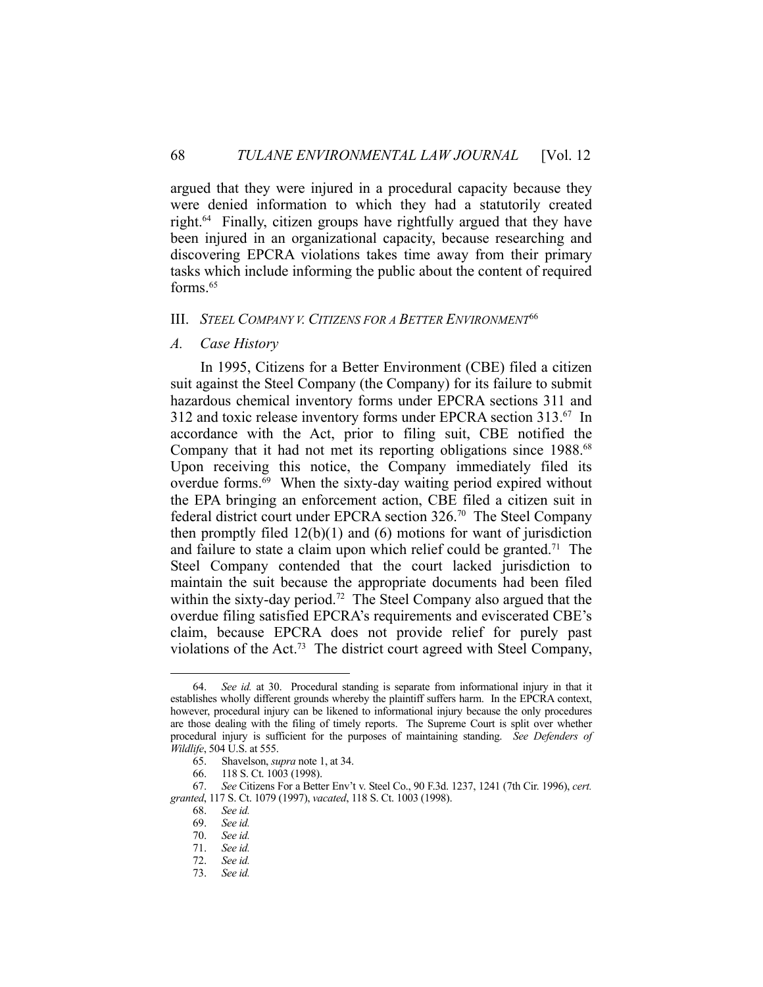argued that they were injured in a procedural capacity because they were denied information to which they had a statutorily created right.64 Finally, citizen groups have rightfully argued that they have been injured in an organizational capacity, because researching and discovering EPCRA violations takes time away from their primary tasks which include informing the public about the content of required forms.65

#### III. *STEEL COMPANY V. CITIZENS FOR A BETTER ENVIRONMENT*<sup>66</sup>

#### *A. Case History*

 In 1995, Citizens for a Better Environment (CBE) filed a citizen suit against the Steel Company (the Company) for its failure to submit hazardous chemical inventory forms under EPCRA sections 311 and 312 and toxic release inventory forms under EPCRA section 313.67 In accordance with the Act, prior to filing suit, CBE notified the Company that it had not met its reporting obligations since 1988.<sup>68</sup> Upon receiving this notice, the Company immediately filed its overdue forms.69 When the sixty-day waiting period expired without the EPA bringing an enforcement action, CBE filed a citizen suit in federal district court under EPCRA section 326.70 The Steel Company then promptly filed  $12(b)(1)$  and  $(6)$  motions for want of jurisdiction and failure to state a claim upon which relief could be granted. 71 The Steel Company contended that the court lacked jurisdiction to maintain the suit because the appropriate documents had been filed within the sixty-day period.<sup>72</sup> The Steel Company also argued that the overdue filing satisfied EPCRA's requirements and eviscerated CBE's claim, because EPCRA does not provide relief for purely past violations of the Act.73 The district court agreed with Steel Company,

 <sup>64.</sup> *See id.* at 30. Procedural standing is separate from informational injury in that it establishes wholly different grounds whereby the plaintiff suffers harm. In the EPCRA context, however, procedural injury can be likened to informational injury because the only procedures are those dealing with the filing of timely reports. The Supreme Court is split over whether procedural injury is sufficient for the purposes of maintaining standing. *See Defenders of Wildlife*, 504 U.S. at 555.

 <sup>65.</sup> Shavelson, *supra* note 1, at 34.

 <sup>66. 118</sup> S. Ct. 1003 (1998).

 <sup>67.</sup> *See* Citizens For a Better Env't v. Steel Co., 90 F.3d. 1237, 1241 (7th Cir. 1996), *cert. granted*, 117 S. Ct. 1079 (1997), *vacated*, 118 S. Ct. 1003 (1998).

 <sup>68.</sup> *See id.*  69. *See id.*

 <sup>70.</sup> *See id.* See id.

 <sup>72.</sup> *See id.*

 <sup>73.</sup> *See id.*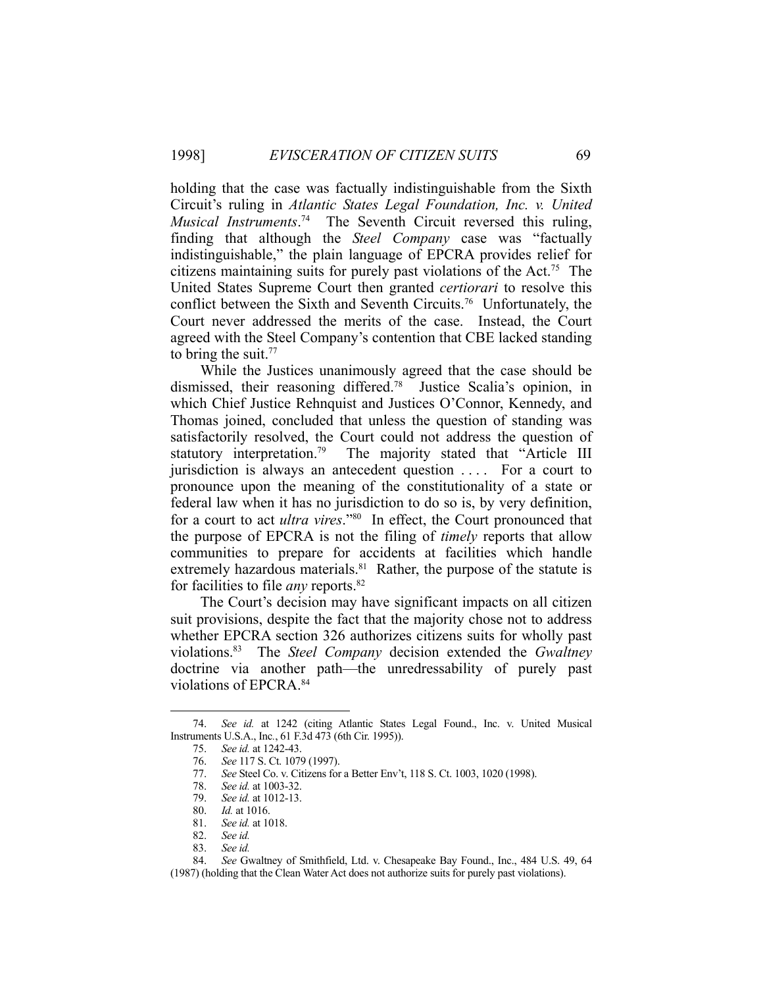holding that the case was factually indistinguishable from the Sixth Circuit's ruling in *Atlantic States Legal Foundation, Inc. v. United Musical Instruments*. 74 The Seventh Circuit reversed this ruling, finding that although the *Steel Company* case was "factually indistinguishable," the plain language of EPCRA provides relief for citizens maintaining suits for purely past violations of the Act.75 The United States Supreme Court then granted *certiorari* to resolve this conflict between the Sixth and Seventh Circuits.76 Unfortunately, the Court never addressed the merits of the case. Instead, the Court agreed with the Steel Company's contention that CBE lacked standing to bring the suit. $77$ 

 While the Justices unanimously agreed that the case should be dismissed, their reasoning differed.78 Justice Scalia's opinion, in which Chief Justice Rehnquist and Justices O'Connor, Kennedy, and Thomas joined, concluded that unless the question of standing was satisfactorily resolved, the Court could not address the question of statutory interpretation.<sup>79</sup> The majority stated that "Article III jurisdiction is always an antecedent question .... For a court to pronounce upon the meaning of the constitutionality of a state or federal law when it has no jurisdiction to do so is, by very definition, for a court to act *ultra vires*."80 In effect, the Court pronounced that the purpose of EPCRA is not the filing of *timely* reports that allow communities to prepare for accidents at facilities which handle extremely hazardous materials.<sup>81</sup> Rather, the purpose of the statute is for facilities to file *any* reports.82

 The Court's decision may have significant impacts on all citizen suit provisions, despite the fact that the majority chose not to address whether EPCRA section 326 authorizes citizens suits for wholly past violations.83 The *Steel Company* decision extended the *Gwaltney*  doctrine via another path—the unredressability of purely past violations of EPCRA.84

 <sup>74.</sup> *See id.* at 1242 (citing Atlantic States Legal Found., Inc. v. United Musical Instruments U.S.A., Inc*.*, 61 F.3d 473 (6th Cir. 1995)).

 <sup>75.</sup> *See id.* at 1242-43.

 <sup>76.</sup> *See* 117 S. Ct. 1079 (1997).

 <sup>77.</sup> *See* Steel Co. v. Citizens for a Better Env't, 118 S. Ct. 1003, 1020 (1998).

 <sup>78.</sup> *See id.* at 1003-32.

 <sup>79.</sup> *See id.* at 1012-13.

 <sup>80.</sup> *Id.* at 1016.

 <sup>81.</sup> *See id.* at 1018.

 <sup>82.</sup> *See id.* 

 <sup>83.</sup> *See id.*

 <sup>84.</sup> *See* Gwaltney of Smithfield, Ltd. v. Chesapeake Bay Found., Inc., 484 U.S. 49, 64

<sup>(1987) (</sup>holding that the Clean Water Act does not authorize suits for purely past violations).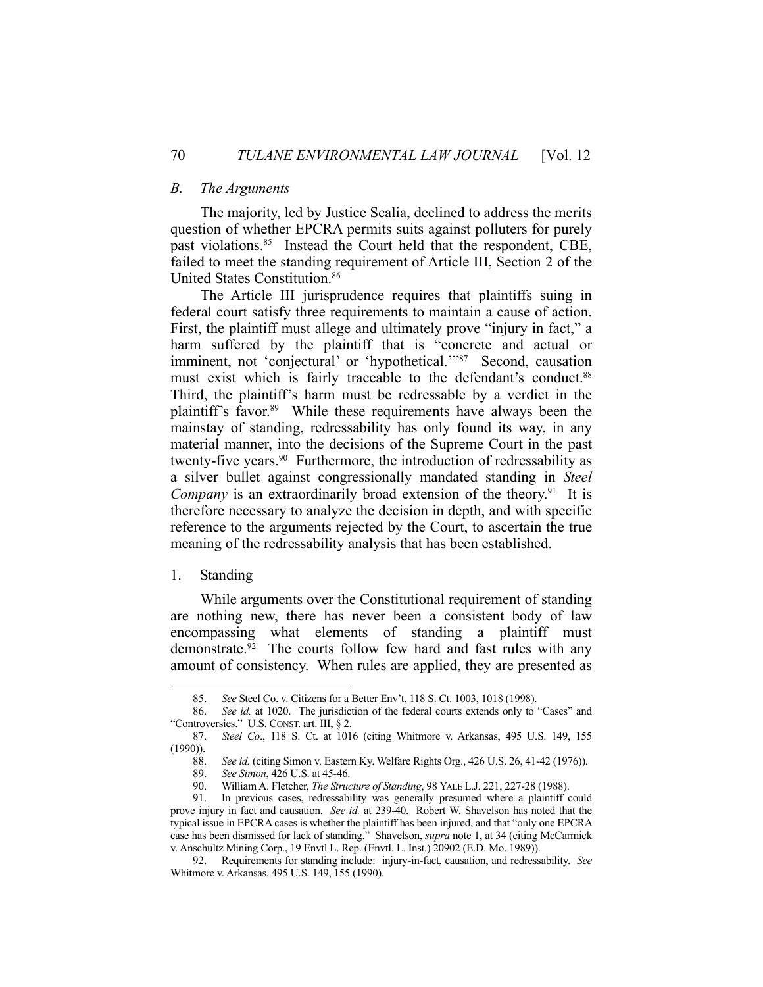# *B. The Arguments*

 The majority, led by Justice Scalia, declined to address the merits question of whether EPCRA permits suits against polluters for purely past violations.85 Instead the Court held that the respondent, CBE, failed to meet the standing requirement of Article III, Section 2 of the United States Constitution.86

 The Article III jurisprudence requires that plaintiffs suing in federal court satisfy three requirements to maintain a cause of action. First, the plaintiff must allege and ultimately prove "injury in fact," a harm suffered by the plaintiff that is "concrete and actual or imminent, not 'conjectural' or 'hypothetical."<sup>87</sup> Second, causation must exist which is fairly traceable to the defendant's conduct.<sup>88</sup> Third, the plaintiff's harm must be redressable by a verdict in the plaintiff's favor.<sup>89</sup> While these requirements have always been the mainstay of standing, redressability has only found its way, in any material manner, into the decisions of the Supreme Court in the past twenty-five years.<sup>90</sup> Furthermore, the introduction of redressability as a silver bullet against congressionally mandated standing in *Steel Company* is an extraordinarily broad extension of the theory.<sup>91</sup> It is therefore necessary to analyze the decision in depth, and with specific reference to the arguments rejected by the Court, to ascertain the true meaning of the redressability analysis that has been established.

#### 1. Standing

1

 While arguments over the Constitutional requirement of standing are nothing new, there has never been a consistent body of law encompassing what elements of standing a plaintiff must demonstrate.<sup>92</sup> The courts follow few hard and fast rules with any amount of consistency. When rules are applied, they are presented as

 <sup>85.</sup> *See* Steel Co. v. Citizens for a Better Env't, 118 S. Ct. 1003, 1018 (1998).

 <sup>86.</sup> *See id.* at 1020. The jurisdiction of the federal courts extends only to "Cases" and "Controversies." U.S. CONST. art. III, § 2.

 <sup>87.</sup> *Steel Co*., 118 S. Ct. at 1016 (citing Whitmore v. Arkansas, 495 U.S. 149, 155 (1990)).

 <sup>88.</sup> *See id.* (citing Simon v. Eastern Ky. Welfare Rights Org., 426 U.S. 26, 41-42 (1976)).

 <sup>89.</sup> *See Simon*, 426 U.S. at 45-46.

 <sup>90.</sup> William A. Fletcher, *The Structure of Standing*, 98 YALE L.J. 221, 227-28 (1988).

 <sup>91.</sup> In previous cases, redressability was generally presumed where a plaintiff could prove injury in fact and causation. *See id.* at 239-40. Robert W. Shavelson has noted that the typical issue in EPCRA cases is whether the plaintiff has been injured, and that "only one EPCRA case has been dismissed for lack of standing." Shavelson, *supra* note 1, at 34 (citing McCarmick v. Anschultz Mining Corp., 19 Envtl L. Rep. (Envtl. L. Inst.) 20902 (E.D. Mo. 1989)).

 <sup>92.</sup> Requirements for standing include: injury-in-fact, causation, and redressability. *See* Whitmore v. Arkansas, 495 U.S. 149, 155 (1990).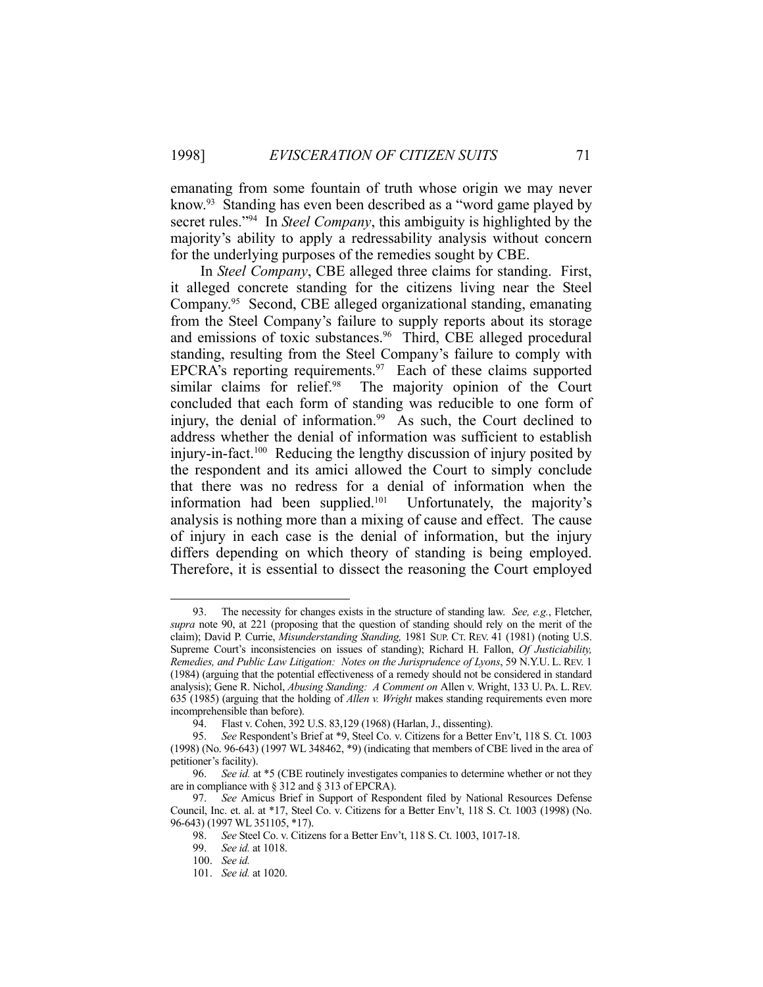emanating from some fountain of truth whose origin we may never know.<sup>93</sup> Standing has even been described as a "word game played by secret rules."94 In *Steel Company*, this ambiguity is highlighted by the majority's ability to apply a redressability analysis without concern for the underlying purposes of the remedies sought by CBE.

 In *Steel Company*, CBE alleged three claims for standing. First, it alleged concrete standing for the citizens living near the Steel Company.95 Second, CBE alleged organizational standing, emanating from the Steel Company's failure to supply reports about its storage and emissions of toxic substances.<sup>96</sup> Third, CBE alleged procedural standing, resulting from the Steel Company's failure to comply with EPCRA's reporting requirements. $97$  Each of these claims supported similar claims for relief.<sup>98</sup> The majority opinion of the Court concluded that each form of standing was reducible to one form of injury, the denial of information.<sup>99</sup> As such, the Court declined to address whether the denial of information was sufficient to establish injury-in-fact.100 Reducing the lengthy discussion of injury posited by the respondent and its amici allowed the Court to simply conclude that there was no redress for a denial of information when the information had been supplied.101 Unfortunately, the majority's analysis is nothing more than a mixing of cause and effect. The cause of injury in each case is the denial of information, but the injury differs depending on which theory of standing is being employed. Therefore, it is essential to dissect the reasoning the Court employed

 <sup>93.</sup> The necessity for changes exists in the structure of standing law. *See, e.g.*, Fletcher, *supra* note 90, at 221 (proposing that the question of standing should rely on the merit of the claim); David P. Currie, *Misunderstanding Standing,* 1981 SUP. CT. REV. 41 (1981) (noting U.S. Supreme Court's inconsistencies on issues of standing); Richard H. Fallon, *Of Justiciability, Remedies, and Public Law Litigation: Notes on the Jurisprudence of Lyons*, 59 N.Y.U. L. REV. 1 (1984) (arguing that the potential effectiveness of a remedy should not be considered in standard analysis); Gene R. Nichol, *Abusing Standing: A Comment on* Allen v. Wright, 133 U. PA. L. REV. 635 (1985) (arguing that the holding of *Allen v. Wright* makes standing requirements even more incomprehensible than before).

 <sup>94.</sup> Flast v. Cohen, 392 U.S. 83,129 (1968) (Harlan, J., dissenting).

 <sup>95.</sup> *See* Respondent's Brief at \*9, Steel Co. v. Citizens for a Better Env't, 118 S. Ct. 1003  $(1998)$  (No. 96-643)  $(1997 \text{ WL } 348462, *9)$  (indicating that members of CBE lived in the area of petitioner's facility).

 <sup>96.</sup> *See id.* at \*5 (CBE routinely investigates companies to determine whether or not they are in compliance with § 312 and § 313 of EPCRA).

 <sup>97.</sup> *See* Amicus Brief in Support of Respondent filed by National Resources Defense Council, Inc. et. al. at \*17, Steel Co. v. Citizens for a Better Env't, 118 S. Ct. 1003 (1998) (No. 96-643) (1997 WL 351105, \*17).

 <sup>98.</sup> *See* Steel Co. v. Citizens for a Better Env't, 118 S. Ct. 1003, 1017-18.

 <sup>99.</sup> *See id.* at 1018.

 <sup>100.</sup> *See id.*

 <sup>101.</sup> *See id.* at 1020.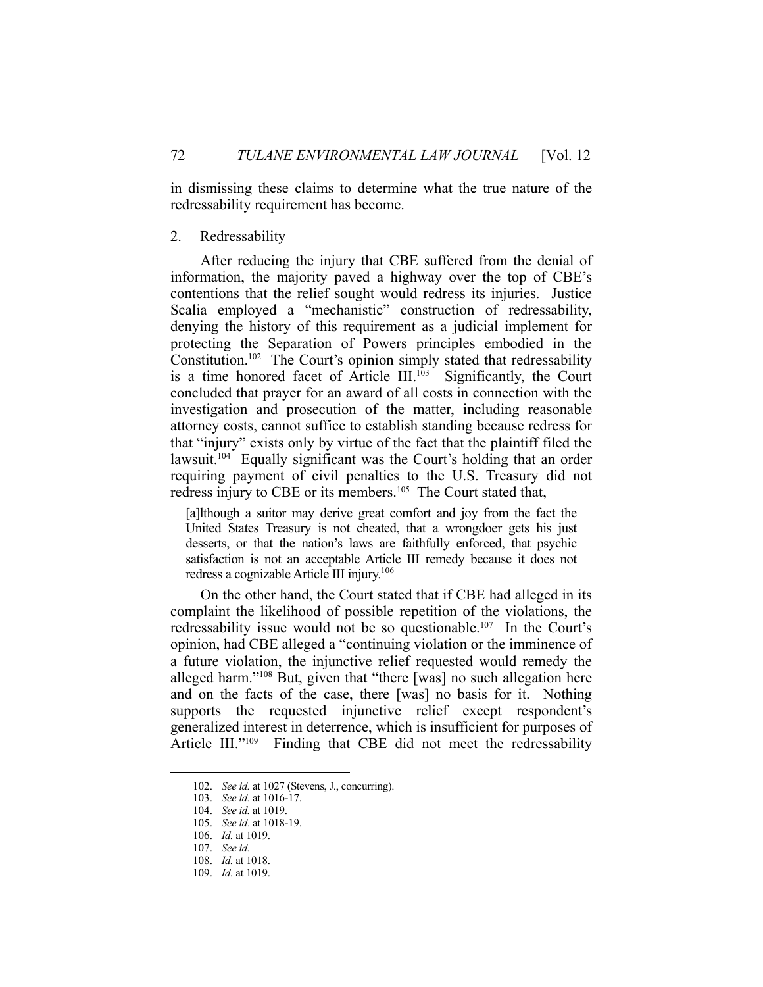in dismissing these claims to determine what the true nature of the redressability requirement has become.

#### 2. Redressability

 After reducing the injury that CBE suffered from the denial of information, the majority paved a highway over the top of CBE's contentions that the relief sought would redress its injuries. Justice Scalia employed a "mechanistic" construction of redressability, denying the history of this requirement as a judicial implement for protecting the Separation of Powers principles embodied in the Constitution.<sup>102</sup> The Court's opinion simply stated that redressability is a time honored facet of Article III. $103$  Significantly, the Court concluded that prayer for an award of all costs in connection with the investigation and prosecution of the matter, including reasonable attorney costs, cannot suffice to establish standing because redress for that "injury" exists only by virtue of the fact that the plaintiff filed the lawsuit.<sup>104</sup> Equally significant was the Court's holding that an order requiring payment of civil penalties to the U.S. Treasury did not redress injury to CBE or its members.<sup>105</sup> The Court stated that,

[a]lthough a suitor may derive great comfort and joy from the fact the United States Treasury is not cheated, that a wrongdoer gets his just desserts, or that the nation's laws are faithfully enforced, that psychic satisfaction is not an acceptable Article III remedy because it does not redress a cognizable Article III injury.106

 On the other hand, the Court stated that if CBE had alleged in its complaint the likelihood of possible repetition of the violations, the redressability issue would not be so questionable.<sup>107</sup> In the Court's opinion, had CBE alleged a "continuing violation or the imminence of a future violation, the injunctive relief requested would remedy the alleged harm."108 But, given that "there [was] no such allegation here and on the facts of the case, there [was] no basis for it. Nothing supports the requested injunctive relief except respondent's generalized interest in deterrence, which is insufficient for purposes of Article III."<sup>109</sup> Finding that CBE did not meet the redressability

 <sup>102.</sup> *See id.* at 1027 (Stevens, J., concurring).

 <sup>103.</sup> *See id.* at 1016-17.

 <sup>104.</sup> *See id.* at 1019.

 <sup>105.</sup> *See id*. at 1018-19.

 <sup>106.</sup> *Id.* at 1019.

 <sup>107.</sup> *See id.*

 <sup>108.</sup> *Id.* at 1018.

 <sup>109.</sup> *Id.* at 1019.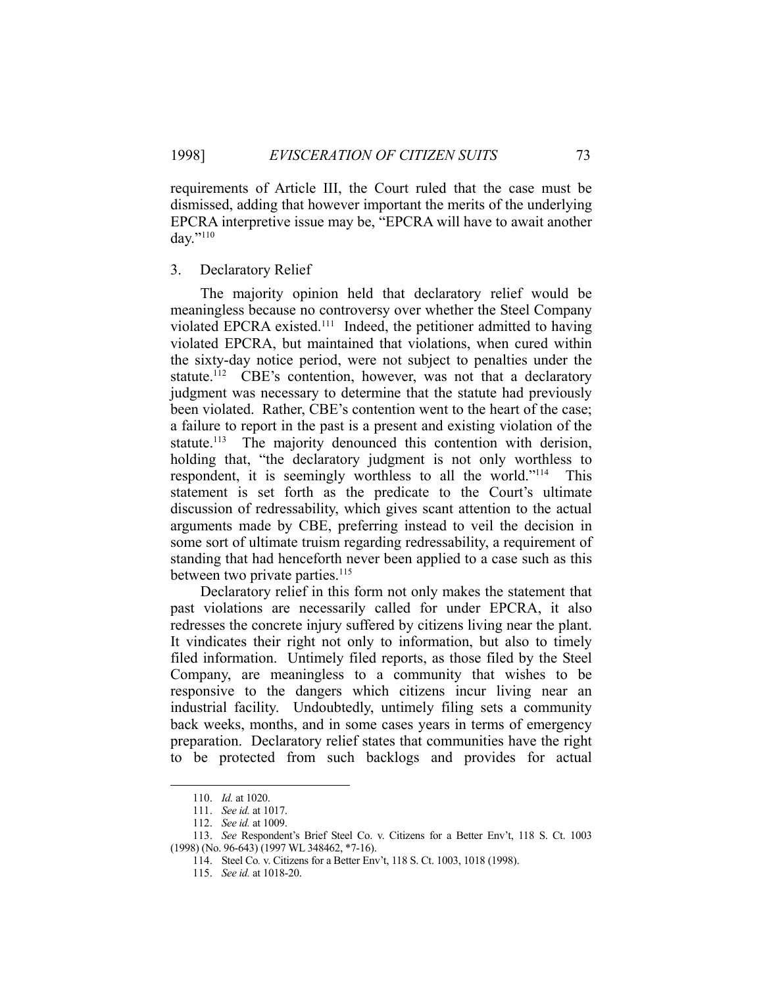requirements of Article III, the Court ruled that the case must be dismissed, adding that however important the merits of the underlying EPCRA interpretive issue may be, "EPCRA will have to await another day."110

# 3. Declaratory Relief

 The majority opinion held that declaratory relief would be meaningless because no controversy over whether the Steel Company violated EPCRA existed.111 Indeed, the petitioner admitted to having violated EPCRA, but maintained that violations, when cured within the sixty-day notice period, were not subject to penalties under the statute.<sup>112</sup> CBE's contention, however, was not that a declaratory judgment was necessary to determine that the statute had previously been violated. Rather, CBE's contention went to the heart of the case; a failure to report in the past is a present and existing violation of the statute.<sup>113</sup> The majority denounced this contention with derision, holding that, "the declaratory judgment is not only worthless to respondent, it is seemingly worthless to all the world."<sup>114</sup> This statement is set forth as the predicate to the Court's ultimate discussion of redressability, which gives scant attention to the actual arguments made by CBE, preferring instead to veil the decision in some sort of ultimate truism regarding redressability, a requirement of standing that had henceforth never been applied to a case such as this between two private parties.<sup>115</sup>

 Declaratory relief in this form not only makes the statement that past violations are necessarily called for under EPCRA, it also redresses the concrete injury suffered by citizens living near the plant. It vindicates their right not only to information, but also to timely filed information. Untimely filed reports, as those filed by the Steel Company, are meaningless to a community that wishes to be responsive to the dangers which citizens incur living near an industrial facility. Undoubtedly, untimely filing sets a community back weeks, months, and in some cases years in terms of emergency preparation. Declaratory relief states that communities have the right to be protected from such backlogs and provides for actual

 <sup>110.</sup> *Id.* at 1020.

 <sup>111.</sup> *See id.* at 1017.

 <sup>112.</sup> *See id.* at 1009.

 <sup>113.</sup> *See* Respondent's Brief Steel Co. v. Citizens for a Better Env't, 118 S. Ct. 1003 (1998) (No. 96-643) (1997 WL 348462, \*7-16).

 <sup>114.</sup> Steel Co*.* v. Citizens for a Better Env't, 118 S. Ct. 1003, 1018 (1998).

 <sup>115.</sup> *See id.* at 1018-20.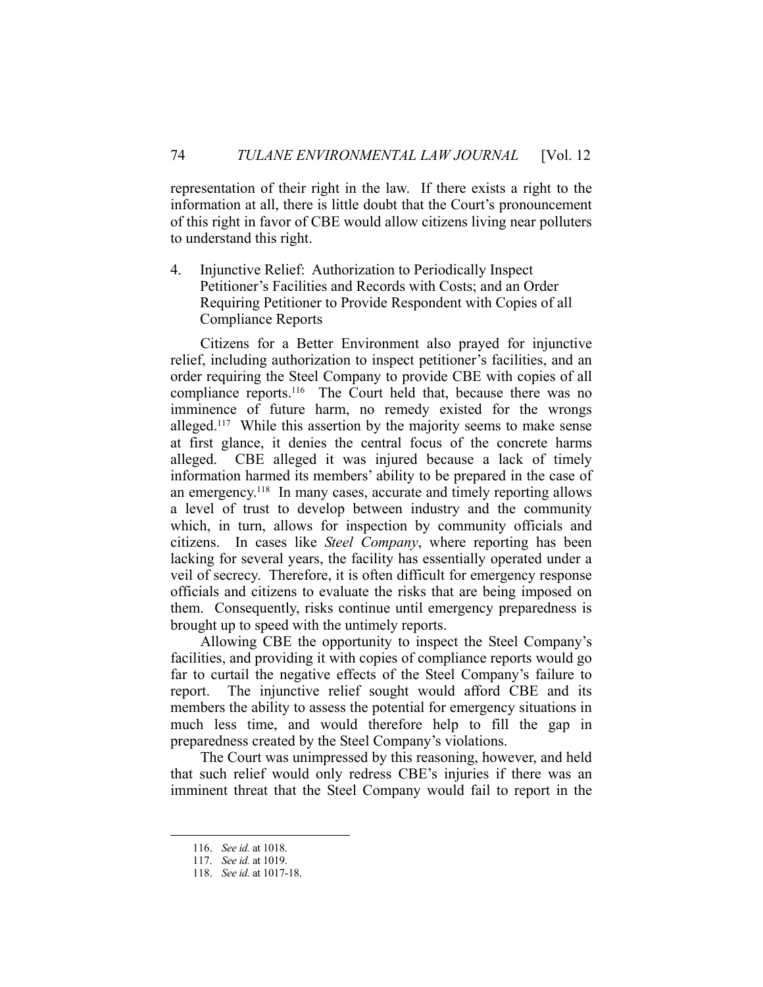representation of their right in the law. If there exists a right to the information at all, there is little doubt that the Court's pronouncement of this right in favor of CBE would allow citizens living near polluters to understand this right.

4. Injunctive Relief: Authorization to Periodically Inspect Petitioner's Facilities and Records with Costs; and an Order Requiring Petitioner to Provide Respondent with Copies of all Compliance Reports

 Citizens for a Better Environment also prayed for injunctive relief, including authorization to inspect petitioner's facilities, and an order requiring the Steel Company to provide CBE with copies of all compliance reports.116 The Court held that, because there was no imminence of future harm, no remedy existed for the wrongs alleged.<sup>117</sup> While this assertion by the majority seems to make sense at first glance, it denies the central focus of the concrete harms alleged. CBE alleged it was injured because a lack of timely information harmed its members' ability to be prepared in the case of an emergency.<sup>118</sup> In many cases, accurate and timely reporting allows a level of trust to develop between industry and the community which, in turn, allows for inspection by community officials and citizens. In cases like *Steel Company*, where reporting has been lacking for several years, the facility has essentially operated under a veil of secrecy. Therefore, it is often difficult for emergency response officials and citizens to evaluate the risks that are being imposed on them. Consequently, risks continue until emergency preparedness is brought up to speed with the untimely reports.

 Allowing CBE the opportunity to inspect the Steel Company's facilities, and providing it with copies of compliance reports would go far to curtail the negative effects of the Steel Company's failure to report. The injunctive relief sought would afford CBE and its members the ability to assess the potential for emergency situations in much less time, and would therefore help to fill the gap in preparedness created by the Steel Company's violations.

 The Court was unimpressed by this reasoning, however, and held that such relief would only redress CBE's injuries if there was an imminent threat that the Steel Company would fail to report in the

 <sup>116.</sup> *See id.* at 1018.

 <sup>117.</sup> *See id.* at 1019.

 <sup>118.</sup> *See id.* at 1017-18.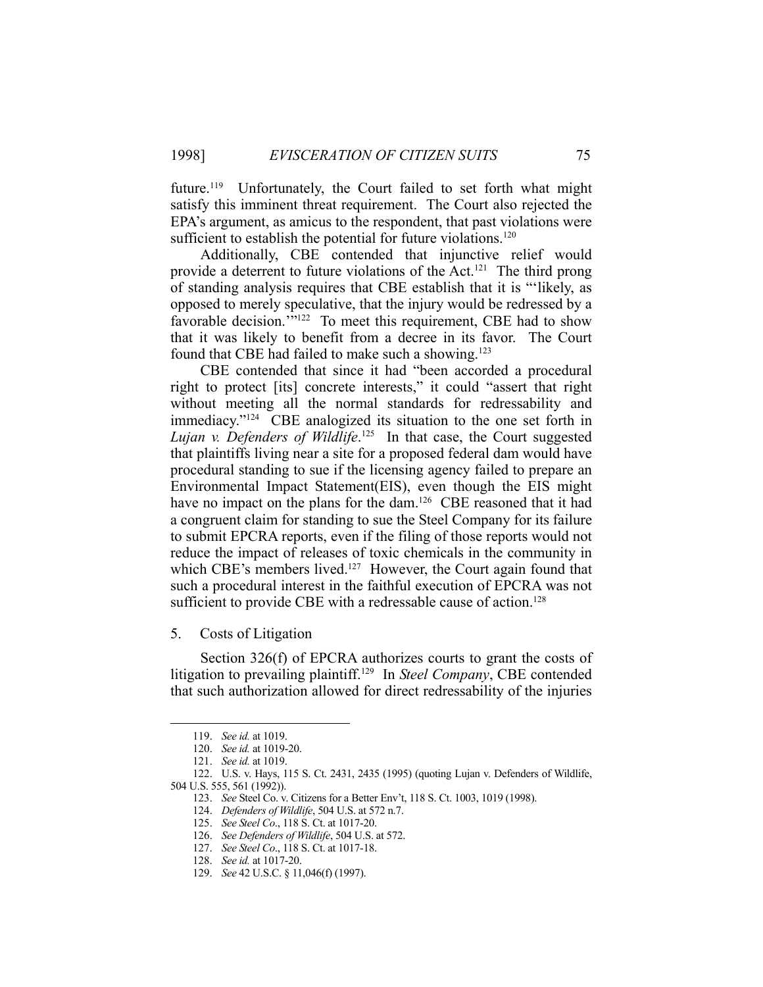future.<sup>119</sup> Unfortunately, the Court failed to set forth what might satisfy this imminent threat requirement. The Court also rejected the EPA's argument, as amicus to the respondent, that past violations were sufficient to establish the potential for future violations.<sup>120</sup>

 Additionally, CBE contended that injunctive relief would provide a deterrent to future violations of the Act.<sup>121</sup> The third prong of standing analysis requires that CBE establish that it is "'likely, as opposed to merely speculative, that the injury would be redressed by a favorable decision.""<sup>122</sup> To meet this requirement, CBE had to show that it was likely to benefit from a decree in its favor. The Court found that CBE had failed to make such a showing.<sup>123</sup>

 CBE contended that since it had "been accorded a procedural right to protect [its] concrete interests," it could "assert that right without meeting all the normal standards for redressability and immediacy."124 CBE analogized its situation to the one set forth in Lujan v. Defenders of Wildlife.<sup>125</sup> In that case, the Court suggested that plaintiffs living near a site for a proposed federal dam would have procedural standing to sue if the licensing agency failed to prepare an Environmental Impact Statement(EIS), even though the EIS might have no impact on the plans for the dam.<sup>126</sup> CBE reasoned that it had a congruent claim for standing to sue the Steel Company for its failure to submit EPCRA reports, even if the filing of those reports would not reduce the impact of releases of toxic chemicals in the community in which CBE's members lived.<sup>127</sup> However, the Court again found that such a procedural interest in the faithful execution of EPCRA was not sufficient to provide CBE with a redressable cause of action.<sup>128</sup>

5. Costs of Litigation

 Section 326(f) of EPCRA authorizes courts to grant the costs of litigation to prevailing plaintiff.129 In *Steel Company*, CBE contended that such authorization allowed for direct redressability of the injuries

 <sup>119.</sup> *See id.* at 1019.

 <sup>120.</sup> *See id.* at 1019-20.

 <sup>121.</sup> *See id.* at 1019.

 <sup>122.</sup> U.S. v. Hays, 115 S. Ct. 2431, 2435 (1995) (quoting Lujan v. Defenders of Wildlife, 504 U.S. 555, 561 (1992)).

 <sup>123.</sup> *See* Steel Co. v. Citizens for a Better Env't, 118 S. Ct. 1003, 1019 (1998).

 <sup>124.</sup> *Defenders of Wildlife*, 504 U.S. at 572 n.7.

 <sup>125.</sup> *See Steel Co*., 118 S. Ct. at 1017-20.

 <sup>126.</sup> *See Defenders of Wildlife*, 504 U.S. at 572.

 <sup>127.</sup> *See Steel Co*., 118 S. Ct. at 1017-18.

 <sup>128.</sup> *See id.* at 1017-20.

 <sup>129.</sup> *See* 42 U.S.C. § 11,046(f) (1997).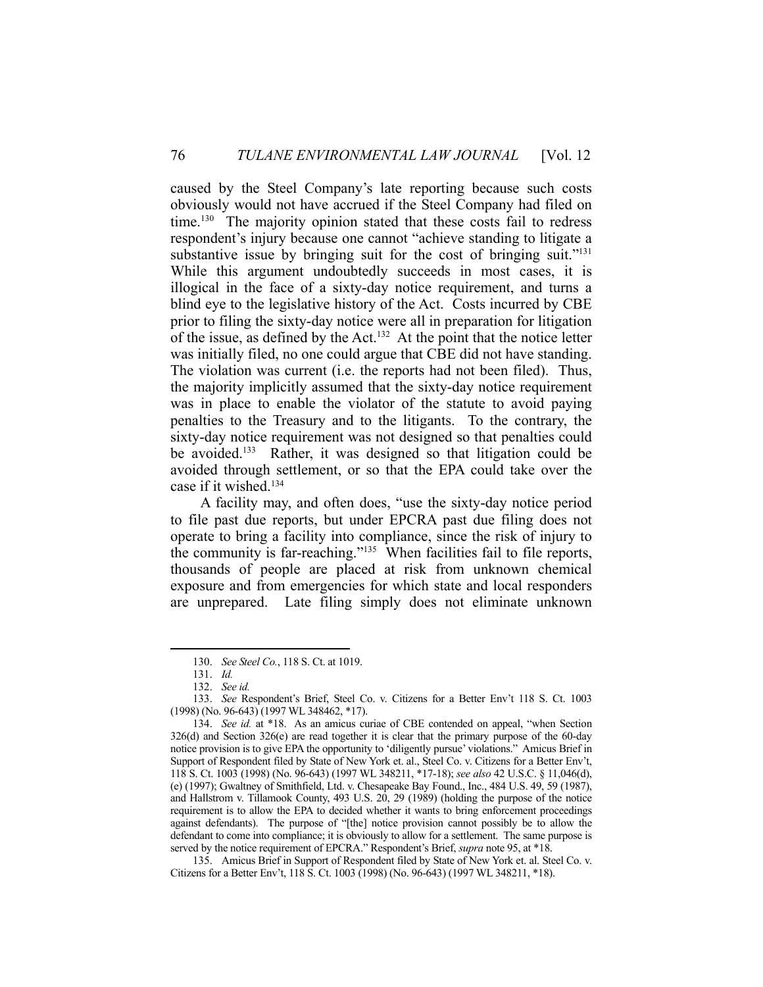caused by the Steel Company's late reporting because such costs obviously would not have accrued if the Steel Company had filed on time.<sup>130</sup> The majority opinion stated that these costs fail to redress respondent's injury because one cannot "achieve standing to litigate a substantive issue by bringing suit for the cost of bringing suit."<sup>131</sup> While this argument undoubtedly succeeds in most cases, it is illogical in the face of a sixty-day notice requirement, and turns a blind eye to the legislative history of the Act. Costs incurred by CBE prior to filing the sixty-day notice were all in preparation for litigation of the issue, as defined by the Act.132 At the point that the notice letter was initially filed, no one could argue that CBE did not have standing. The violation was current (i.e. the reports had not been filed). Thus, the majority implicitly assumed that the sixty-day notice requirement was in place to enable the violator of the statute to avoid paying penalties to the Treasury and to the litigants. To the contrary, the sixty-day notice requirement was not designed so that penalties could be avoided.133 Rather, it was designed so that litigation could be avoided through settlement, or so that the EPA could take over the case if it wished.134

 A facility may, and often does, "use the sixty-day notice period to file past due reports, but under EPCRA past due filing does not operate to bring a facility into compliance, since the risk of injury to the community is far-reaching."135 When facilities fail to file reports, thousands of people are placed at risk from unknown chemical exposure and from emergencies for which state and local responders are unprepared. Late filing simply does not eliminate unknown

 <sup>130.</sup> *See Steel Co.*, 118 S. Ct. at 1019.

 <sup>131.</sup> *Id.* 

 <sup>132.</sup> *See id.*

 <sup>133.</sup> *See* Respondent's Brief, Steel Co. v. Citizens for a Better Env't 118 S. Ct. 1003 (1998) (No. 96-643) (1997 WL 348462, \*17).

 <sup>134.</sup> *See id.* at \*18. As an amicus curiae of CBE contended on appeal, "when Section 326(d) and Section 326(e) are read together it is clear that the primary purpose of the 60-day notice provision is to give EPA the opportunity to 'diligently pursue' violations." Amicus Brief in Support of Respondent filed by State of New York et. al., Steel Co. v. Citizens for a Better Env't, 118 S. Ct. 1003 (1998) (No. 96-643) (1997 WL 348211, \*17-18); *see also* 42 U.S.C. § 11,046(d), (e) (1997); Gwaltney of Smithfield, Ltd. v. Chesapeake Bay Found., Inc., 484 U.S. 49, 59 (1987), and Hallstrom v. Tillamook County, 493 U.S. 20, 29 (1989) (holding the purpose of the notice requirement is to allow the EPA to decided whether it wants to bring enforcement proceedings against defendants). The purpose of "[the] notice provision cannot possibly be to allow the defendant to come into compliance; it is obviously to allow for a settlement. The same purpose is served by the notice requirement of EPCRA." Respondent's Brief, *supra* note 95, at \*18.

 <sup>135.</sup> Amicus Brief in Support of Respondent filed by State of New York et. al. Steel Co. v. Citizens for a Better Env't, 118 S. Ct. 1003 (1998) (No. 96-643) (1997 WL 348211, \*18).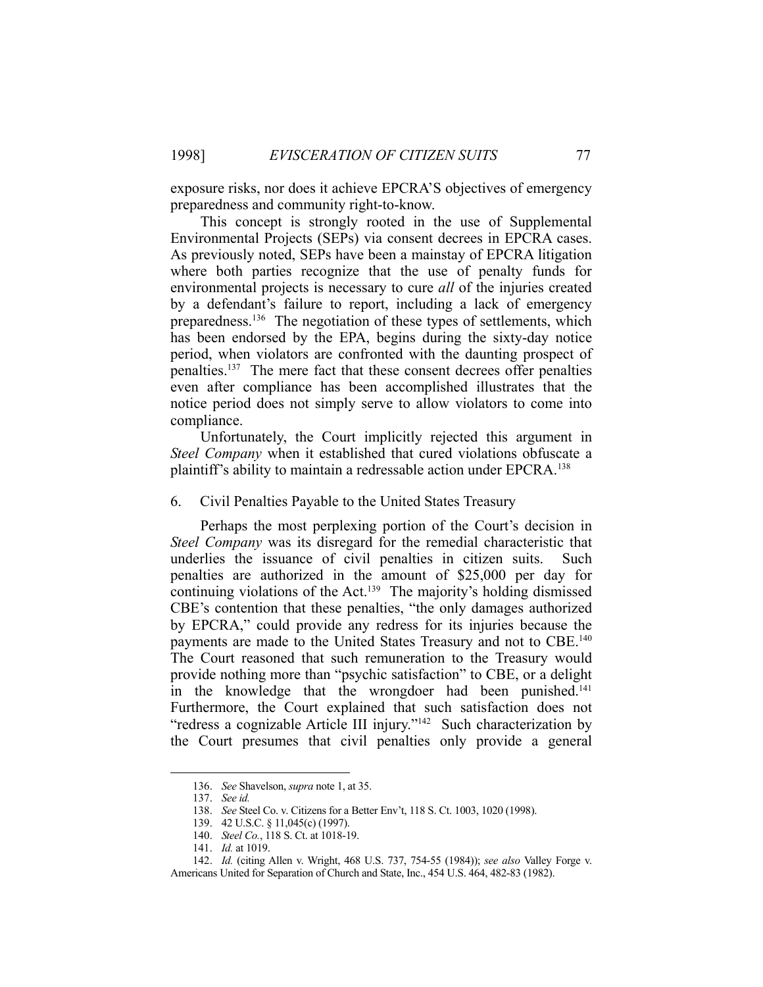exposure risks, nor does it achieve EPCRA'S objectives of emergency preparedness and community right-to-know.

 This concept is strongly rooted in the use of Supplemental Environmental Projects (SEPs) via consent decrees in EPCRA cases. As previously noted, SEPs have been a mainstay of EPCRA litigation where both parties recognize that the use of penalty funds for environmental projects is necessary to cure *all* of the injuries created by a defendant's failure to report, including a lack of emergency preparedness.<sup>136</sup> The negotiation of these types of settlements, which has been endorsed by the EPA, begins during the sixty-day notice period, when violators are confronted with the daunting prospect of penalties.137 The mere fact that these consent decrees offer penalties even after compliance has been accomplished illustrates that the notice period does not simply serve to allow violators to come into compliance.

 Unfortunately, the Court implicitly rejected this argument in *Steel Company* when it established that cured violations obfuscate a plaintiff's ability to maintain a redressable action under EPCRA.138

6. Civil Penalties Payable to the United States Treasury

 Perhaps the most perplexing portion of the Court's decision in *Steel Company* was its disregard for the remedial characteristic that underlies the issuance of civil penalties in citizen suits. Such penalties are authorized in the amount of \$25,000 per day for continuing violations of the Act.<sup>139</sup> The majority's holding dismissed CBE's contention that these penalties, "the only damages authorized by EPCRA," could provide any redress for its injuries because the payments are made to the United States Treasury and not to CBE.140 The Court reasoned that such remuneration to the Treasury would provide nothing more than "psychic satisfaction" to CBE, or a delight in the knowledge that the wrongdoer had been punished.<sup>141</sup> Furthermore, the Court explained that such satisfaction does not "redress a cognizable Article III injury."142 Such characterization by the Court presumes that civil penalties only provide a general

 <sup>136.</sup> *See* Shavelson, *supra* note 1, at 35.

 <sup>137.</sup> *See id.* 

 <sup>138.</sup> *See* Steel Co. v. Citizens for a Better Env't, 118 S. Ct. 1003, 1020 (1998).

 <sup>139. 42</sup> U.S.C. § 11,045(c) (1997).

 <sup>140.</sup> *Steel Co.*, 118 S. Ct. at 1018-19.

 <sup>141.</sup> *Id.* at 1019.

 <sup>142.</sup> *Id.* (citing Allen v. Wright, 468 U.S. 737, 754-55 (1984)); *see also* Valley Forge v. Americans United for Separation of Church and State, Inc., 454 U.S. 464, 482-83 (1982).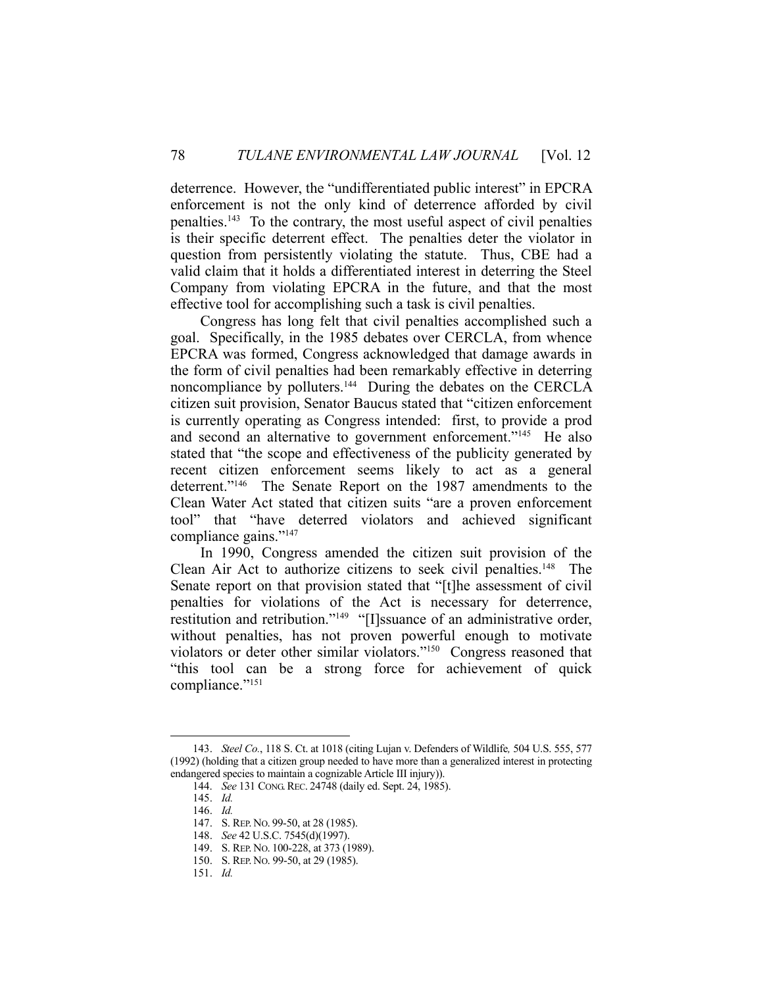deterrence. However, the "undifferentiated public interest" in EPCRA enforcement is not the only kind of deterrence afforded by civil penalties.143 To the contrary, the most useful aspect of civil penalties is their specific deterrent effect. The penalties deter the violator in question from persistently violating the statute. Thus, CBE had a valid claim that it holds a differentiated interest in deterring the Steel Company from violating EPCRA in the future, and that the most effective tool for accomplishing such a task is civil penalties.

 Congress has long felt that civil penalties accomplished such a goal. Specifically, in the 1985 debates over CERCLA, from whence EPCRA was formed, Congress acknowledged that damage awards in the form of civil penalties had been remarkably effective in deterring noncompliance by polluters.<sup>144</sup> During the debates on the CERCLA citizen suit provision, Senator Baucus stated that "citizen enforcement is currently operating as Congress intended: first, to provide a prod and second an alternative to government enforcement."<sup>145</sup> He also stated that "the scope and effectiveness of the publicity generated by recent citizen enforcement seems likely to act as a general deterrent."<sup>146</sup> The Senate Report on the 1987 amendments to the Clean Water Act stated that citizen suits "are a proven enforcement tool" that "have deterred violators and achieved significant compliance gains."147

 In 1990, Congress amended the citizen suit provision of the Clean Air Act to authorize citizens to seek civil penalties.<sup>148</sup> The Senate report on that provision stated that "[t]he assessment of civil penalties for violations of the Act is necessary for deterrence, restitution and retribution."<sup>149</sup> "[I]ssuance of an administrative order, without penalties, has not proven powerful enough to motivate violators or deter other similar violators."150 Congress reasoned that "this tool can be a strong force for achievement of quick compliance."<sup>151</sup>

 <sup>143.</sup> *Steel Co.*, 118 S. Ct. at 1018 (citing Lujan v. Defenders of Wildlife*,* 504 U.S. 555, 577 (1992) (holding that a citizen group needed to have more than a generalized interest in protecting endangered species to maintain a cognizable Article III injury)).

 <sup>144.</sup> *See* 131 CONG.REC. 24748 (daily ed. Sept. 24, 1985).

 <sup>145.</sup> *Id.* 

 <sup>146.</sup> *Id.*

 <sup>147.</sup> S. REP. NO. 99-50, at 28 (1985).

 <sup>148.</sup> *See* 42 U.S.C. 7545(d)(1997).

 <sup>149.</sup> S. REP. NO. 100-228, at 373 (1989).

 <sup>150.</sup> S. REP. NO. 99-50, at 29 (1985).

 <sup>151.</sup> *Id.*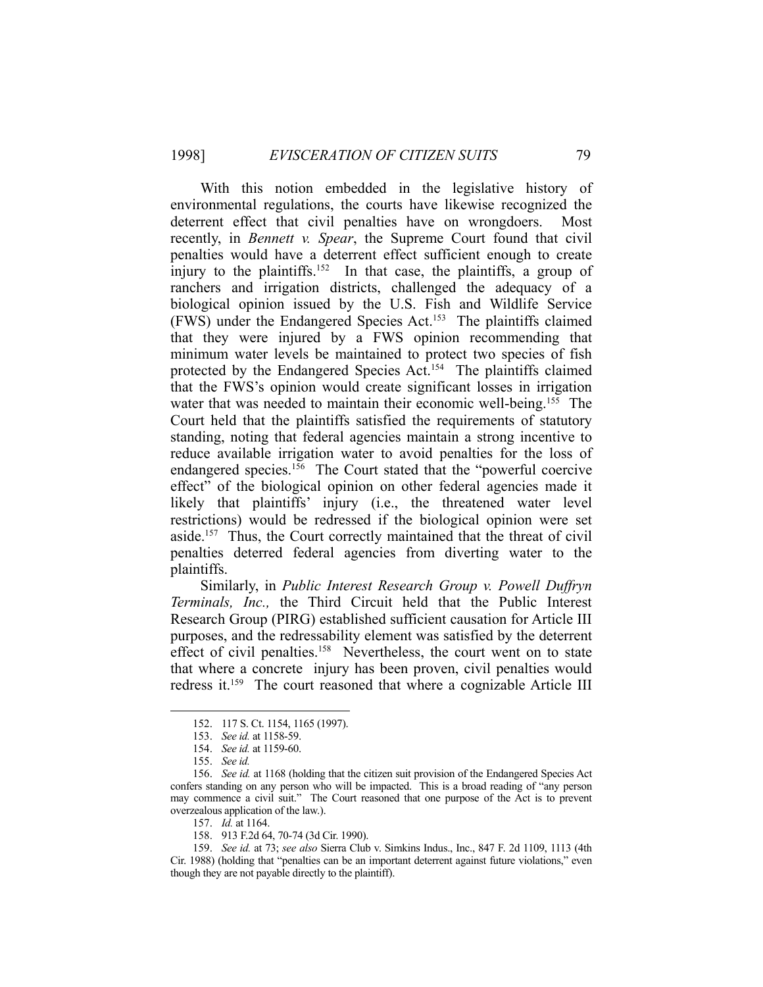With this notion embedded in the legislative history of environmental regulations, the courts have likewise recognized the deterrent effect that civil penalties have on wrongdoers. Most recently, in *Bennett v. Spear*, the Supreme Court found that civil penalties would have a deterrent effect sufficient enough to create injury to the plaintiffs.<sup>152</sup> In that case, the plaintiffs, a group of ranchers and irrigation districts, challenged the adequacy of a biological opinion issued by the U.S. Fish and Wildlife Service (FWS) under the Endangered Species Act.153 The plaintiffs claimed that they were injured by a FWS opinion recommending that minimum water levels be maintained to protect two species of fish protected by the Endangered Species Act.<sup>154</sup> The plaintiffs claimed that the FWS's opinion would create significant losses in irrigation water that was needed to maintain their economic well-being.<sup>155</sup> The Court held that the plaintiffs satisfied the requirements of statutory standing, noting that federal agencies maintain a strong incentive to reduce available irrigation water to avoid penalties for the loss of endangered species.<sup>156</sup> The Court stated that the "powerful coercive" effect" of the biological opinion on other federal agencies made it likely that plaintiffs' injury (i.e., the threatened water level restrictions) would be redressed if the biological opinion were set aside.<sup>157</sup> Thus, the Court correctly maintained that the threat of civil penalties deterred federal agencies from diverting water to the plaintiffs.

 Similarly, in *Public Interest Research Group v. Powell Duffryn Terminals, Inc.,* the Third Circuit held that the Public Interest Research Group (PIRG) established sufficient causation for Article III purposes, and the redressability element was satisfied by the deterrent effect of civil penalties.<sup>158</sup> Nevertheless, the court went on to state that where a concrete injury has been proven, civil penalties would redress it.<sup>159</sup> The court reasoned that where a cognizable Article III

 <sup>152. 117</sup> S. Ct. 1154, 1165 (1997).

 <sup>153.</sup> *See id.* at 1158-59.

 <sup>154.</sup> *See id.* at 1159-60.

 <sup>155.</sup> *See id.* 

 <sup>156.</sup> *See id.* at 1168 (holding that the citizen suit provision of the Endangered Species Act confers standing on any person who will be impacted. This is a broad reading of "any person may commence a civil suit." The Court reasoned that one purpose of the Act is to prevent overzealous application of the law.).

 <sup>157.</sup> *Id.* at 1164.

 <sup>158. 913</sup> F.2d 64, 70-74 (3d Cir. 1990).

 <sup>159.</sup> *See id.* at 73; *see also* Sierra Club v. Simkins Indus., Inc., 847 F. 2d 1109, 1113 (4th Cir. 1988) (holding that "penalties can be an important deterrent against future violations," even though they are not payable directly to the plaintiff).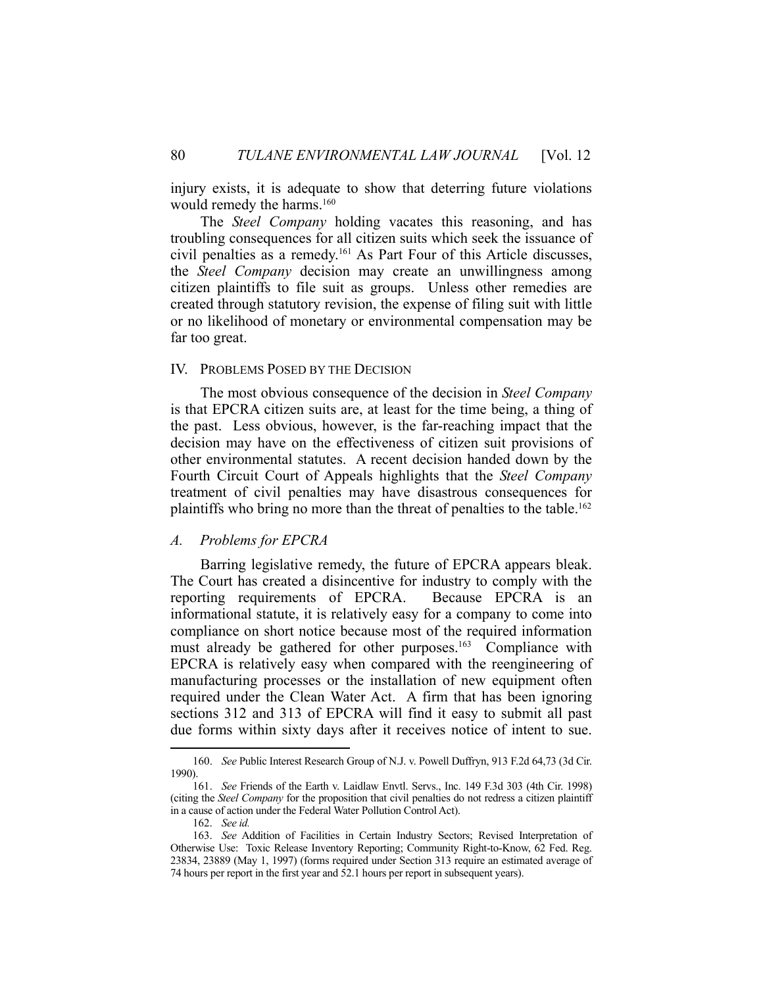injury exists, it is adequate to show that deterring future violations would remedy the harms.<sup>160</sup>

 The *Steel Company* holding vacates this reasoning, and has troubling consequences for all citizen suits which seek the issuance of civil penalties as a remedy.161 As Part Four of this Article discusses, the *Steel Company* decision may create an unwillingness among citizen plaintiffs to file suit as groups. Unless other remedies are created through statutory revision, the expense of filing suit with little or no likelihood of monetary or environmental compensation may be far too great.

# IV. PROBLEMS POSED BY THE DECISION

 The most obvious consequence of the decision in *Steel Company* is that EPCRA citizen suits are, at least for the time being, a thing of the past. Less obvious, however, is the far-reaching impact that the decision may have on the effectiveness of citizen suit provisions of other environmental statutes. A recent decision handed down by the Fourth Circuit Court of Appeals highlights that the *Steel Company* treatment of civil penalties may have disastrous consequences for plaintiffs who bring no more than the threat of penalties to the table.<sup>162</sup>

# *A. Problems for EPCRA*

 Barring legislative remedy, the future of EPCRA appears bleak. The Court has created a disincentive for industry to comply with the reporting requirements of EPCRA. Because EPCRA is an informational statute, it is relatively easy for a company to come into compliance on short notice because most of the required information must already be gathered for other purposes.<sup>163</sup> Compliance with EPCRA is relatively easy when compared with the reengineering of manufacturing processes or the installation of new equipment often required under the Clean Water Act. A firm that has been ignoring sections 312 and 313 of EPCRA will find it easy to submit all past due forms within sixty days after it receives notice of intent to sue.

 <sup>160.</sup> *See* Public Interest Research Group of N.J. v. Powell Duffryn, 913 F.2d 64,73 (3d Cir. 1990).

 <sup>161.</sup> *See* Friends of the Earth v. Laidlaw Envtl. Servs., Inc. 149 F.3d 303 (4th Cir. 1998) (citing the *Steel Company* for the proposition that civil penalties do not redress a citizen plaintiff in a cause of action under the Federal Water Pollution Control Act).

 <sup>162.</sup> *See id.* 

 <sup>163.</sup> *See* Addition of Facilities in Certain Industry Sectors; Revised Interpretation of Otherwise Use: Toxic Release Inventory Reporting; Community Right-to-Know, 62 Fed. Reg. 23834, 23889 (May 1, 1997) (forms required under Section 313 require an estimated average of 74 hours per report in the first year and 52.1 hours per report in subsequent years).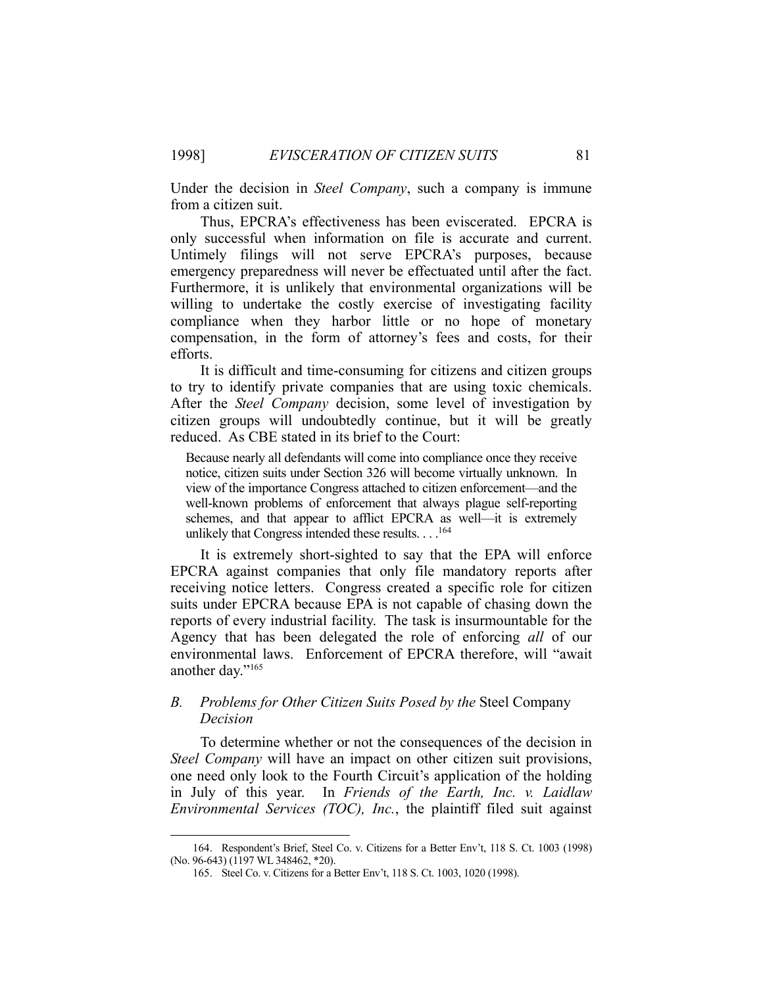Under the decision in *Steel Company*, such a company is immune from a citizen suit.

 Thus, EPCRA's effectiveness has been eviscerated. EPCRA is only successful when information on file is accurate and current. Untimely filings will not serve EPCRA's purposes, because emergency preparedness will never be effectuated until after the fact. Furthermore, it is unlikely that environmental organizations will be willing to undertake the costly exercise of investigating facility compliance when they harbor little or no hope of monetary compensation, in the form of attorney's fees and costs, for their efforts.

 It is difficult and time-consuming for citizens and citizen groups to try to identify private companies that are using toxic chemicals. After the *Steel Company* decision, some level of investigation by citizen groups will undoubtedly continue, but it will be greatly reduced. As CBE stated in its brief to the Court:

Because nearly all defendants will come into compliance once they receive notice, citizen suits under Section 326 will become virtually unknown. In view of the importance Congress attached to citizen enforcement—and the well-known problems of enforcement that always plague self-reporting schemes, and that appear to afflict EPCRA as well—it is extremely unlikely that Congress intended these results. . . .<sup>164</sup>

 It is extremely short-sighted to say that the EPA will enforce EPCRA against companies that only file mandatory reports after receiving notice letters. Congress created a specific role for citizen suits under EPCRA because EPA is not capable of chasing down the reports of every industrial facility. The task is insurmountable for the Agency that has been delegated the role of enforcing *all* of our environmental laws. Enforcement of EPCRA therefore, will "await another day."165

# *B. Problems for Other Citizen Suits Posed by the* Steel Company *Decision*

 To determine whether or not the consequences of the decision in *Steel Company* will have an impact on other citizen suit provisions, one need only look to the Fourth Circuit's application of the holding in July of this year. In *Friends of the Earth, Inc. v. Laidlaw Environmental Services (TOC), Inc.*, the plaintiff filed suit against

 <sup>164.</sup> Respondent's Brief, Steel Co. v. Citizens for a Better Env't, 118 S. Ct. 1003 (1998) (No. 96-643) (1197 WL 348462, \*20).

 <sup>165.</sup> Steel Co. v. Citizens for a Better Env't, 118 S. Ct. 1003, 1020 (1998).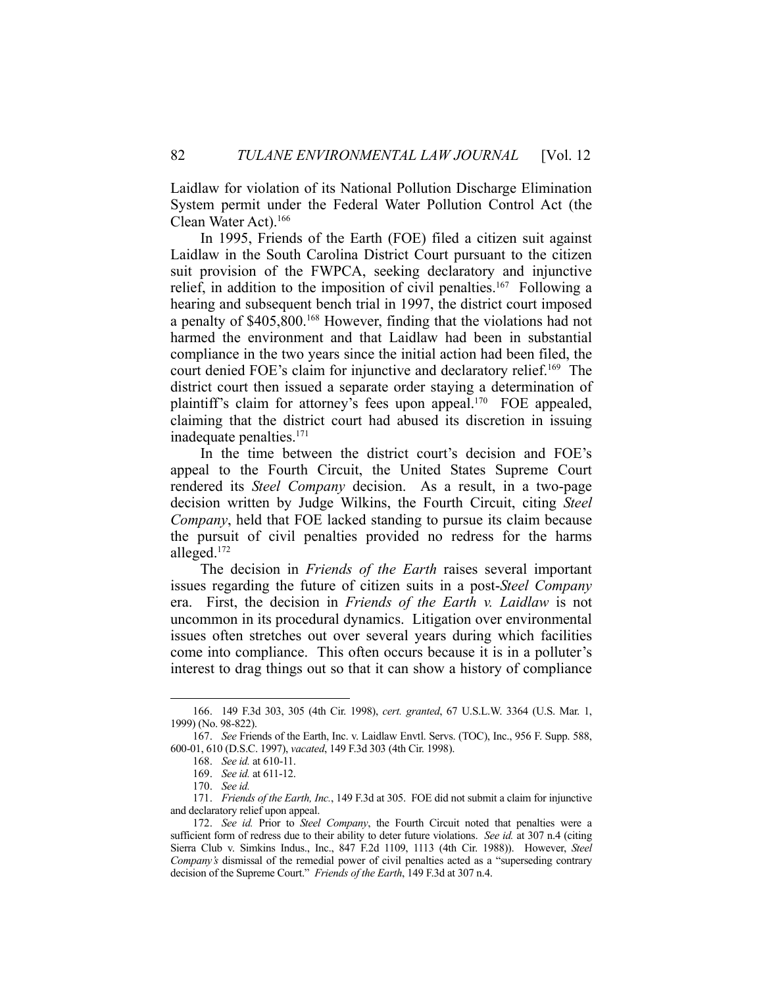Laidlaw for violation of its National Pollution Discharge Elimination System permit under the Federal Water Pollution Control Act (the Clean Water Act).166

 In 1995, Friends of the Earth (FOE) filed a citizen suit against Laidlaw in the South Carolina District Court pursuant to the citizen suit provision of the FWPCA, seeking declaratory and injunctive relief, in addition to the imposition of civil penalties.<sup>167</sup> Following a hearing and subsequent bench trial in 1997, the district court imposed a penalty of \$405,800.168 However, finding that the violations had not harmed the environment and that Laidlaw had been in substantial compliance in the two years since the initial action had been filed, the court denied FOE's claim for injunctive and declaratory relief.<sup>169</sup> The district court then issued a separate order staying a determination of plaintiff's claim for attorney's fees upon appeal.<sup>170</sup> FOE appealed, claiming that the district court had abused its discretion in issuing inadequate penalties.171

 In the time between the district court's decision and FOE's appeal to the Fourth Circuit, the United States Supreme Court rendered its *Steel Company* decision. As a result, in a two-page decision written by Judge Wilkins, the Fourth Circuit, citing *Steel Company*, held that FOE lacked standing to pursue its claim because the pursuit of civil penalties provided no redress for the harms alleged.172

 The decision in *Friends of the Earth* raises several important issues regarding the future of citizen suits in a post-*Steel Company* era. First, the decision in *Friends of the Earth v. Laidlaw* is not uncommon in its procedural dynamics. Litigation over environmental issues often stretches out over several years during which facilities come into compliance. This often occurs because it is in a polluter's interest to drag things out so that it can show a history of compliance

 <sup>166. 149</sup> F.3d 303, 305 (4th Cir. 1998), *cert. granted*, 67 U.S.L.W. 3364 (U.S. Mar. 1, 1999) (No. 98-822).

 <sup>167.</sup> *See* Friends of the Earth, Inc. v. Laidlaw Envtl. Servs. (TOC), Inc., 956 F. Supp. 588, 600-01, 610 (D.S.C. 1997), *vacated*, 149 F.3d 303 (4th Cir. 1998).

 <sup>168.</sup> *See id.* at 610-11.

 <sup>169.</sup> *See id.* at 611-12.

 <sup>170.</sup> *See id.* 

 <sup>171.</sup> *Friends of the Earth, Inc.*, 149 F.3d at 305. FOE did not submit a claim for injunctive and declaratory relief upon appeal.

 <sup>172.</sup> *See id.* Prior to *Steel Company*, the Fourth Circuit noted that penalties were a sufficient form of redress due to their ability to deter future violations. *See id.* at 307 n.4 (citing Sierra Club v. Simkins Indus., Inc., 847 F.2d 1109, 1113 (4th Cir. 1988)). However, *Steel Company's* dismissal of the remedial power of civil penalties acted as a "superseding contrary decision of the Supreme Court." *Friends of the Earth*, 149 F.3d at 307 n.4.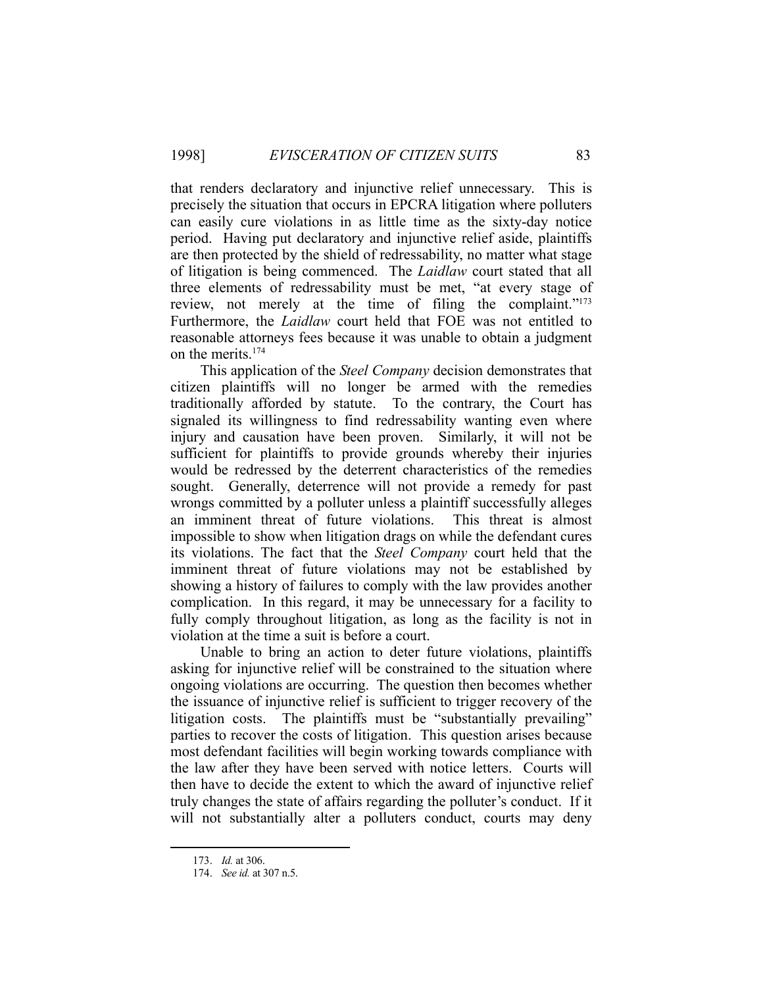that renders declaratory and injunctive relief unnecessary. This is precisely the situation that occurs in EPCRA litigation where polluters can easily cure violations in as little time as the sixty-day notice period. Having put declaratory and injunctive relief aside, plaintiffs are then protected by the shield of redressability, no matter what stage of litigation is being commenced. The *Laidlaw* court stated that all three elements of redressability must be met, "at every stage of review, not merely at the time of filing the complaint."<sup>173</sup> Furthermore, the *Laidlaw* court held that FOE was not entitled to reasonable attorneys fees because it was unable to obtain a judgment on the merits.174

 This application of the *Steel Company* decision demonstrates that citizen plaintiffs will no longer be armed with the remedies traditionally afforded by statute. To the contrary, the Court has signaled its willingness to find redressability wanting even where injury and causation have been proven. Similarly, it will not be sufficient for plaintiffs to provide grounds whereby their injuries would be redressed by the deterrent characteristics of the remedies sought. Generally, deterrence will not provide a remedy for past wrongs committed by a polluter unless a plaintiff successfully alleges an imminent threat of future violations. This threat is almost impossible to show when litigation drags on while the defendant cures its violations. The fact that the *Steel Company* court held that the imminent threat of future violations may not be established by showing a history of failures to comply with the law provides another complication. In this regard, it may be unnecessary for a facility to fully comply throughout litigation, as long as the facility is not in violation at the time a suit is before a court.

 Unable to bring an action to deter future violations, plaintiffs asking for injunctive relief will be constrained to the situation where ongoing violations are occurring. The question then becomes whether the issuance of injunctive relief is sufficient to trigger recovery of the litigation costs. The plaintiffs must be "substantially prevailing" parties to recover the costs of litigation. This question arises because most defendant facilities will begin working towards compliance with the law after they have been served with notice letters. Courts will then have to decide the extent to which the award of injunctive relief truly changes the state of affairs regarding the polluter's conduct. If it will not substantially alter a polluters conduct, courts may deny

 <sup>173.</sup> *Id.* at 306.

 <sup>174.</sup> *See id.* at 307 n.5.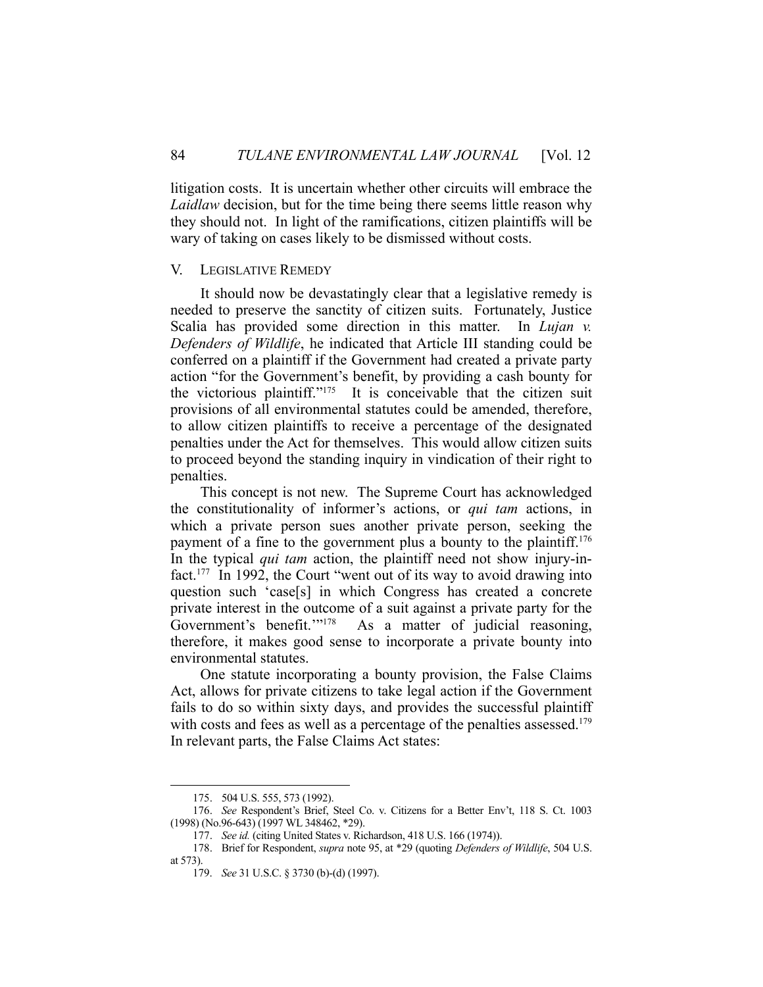litigation costs. It is uncertain whether other circuits will embrace the *Laidlaw* decision, but for the time being there seems little reason why they should not. In light of the ramifications, citizen plaintiffs will be wary of taking on cases likely to be dismissed without costs.

# V. LEGISLATIVE REMEDY

 It should now be devastatingly clear that a legislative remedy is needed to preserve the sanctity of citizen suits. Fortunately, Justice Scalia has provided some direction in this matter. In *Lujan v. Defenders of Wildlife*, he indicated that Article III standing could be conferred on a plaintiff if the Government had created a private party action "for the Government's benefit, by providing a cash bounty for the victorious plaintiff."175 It is conceivable that the citizen suit provisions of all environmental statutes could be amended, therefore, to allow citizen plaintiffs to receive a percentage of the designated penalties under the Act for themselves. This would allow citizen suits to proceed beyond the standing inquiry in vindication of their right to penalties.

 This concept is not new. The Supreme Court has acknowledged the constitutionality of informer's actions, or *qui tam* actions, in which a private person sues another private person, seeking the payment of a fine to the government plus a bounty to the plaintiff.<sup>176</sup> In the typical *qui tam* action, the plaintiff need not show injury-infact.177 In 1992, the Court "went out of its way to avoid drawing into question such 'case[s] in which Congress has created a concrete private interest in the outcome of a suit against a private party for the Government's benefit."<sup>178</sup> As a matter of judicial reasoning, therefore, it makes good sense to incorporate a private bounty into environmental statutes.

 One statute incorporating a bounty provision, the False Claims Act, allows for private citizens to take legal action if the Government fails to do so within sixty days, and provides the successful plaintiff with costs and fees as well as a percentage of the penalties assessed.<sup>179</sup> In relevant parts, the False Claims Act states:

 <sup>175. 504</sup> U.S. 555, 573 (1992).

 <sup>176.</sup> *See* Respondent's Brief, Steel Co. v. Citizens for a Better Env't, 118 S. Ct. 1003 (1998) (No.96-643) (1997 WL 348462, \*29).

 <sup>177.</sup> *See id.* (citing United States v. Richardson, 418 U.S. 166 (1974)).

 <sup>178.</sup> Brief for Respondent, *supra* note 95, at \*29 (quoting *Defenders of Wildlife*, 504 U.S. at 573).

 <sup>179.</sup> *See* 31 U.S.C. § 3730 (b)-(d) (1997).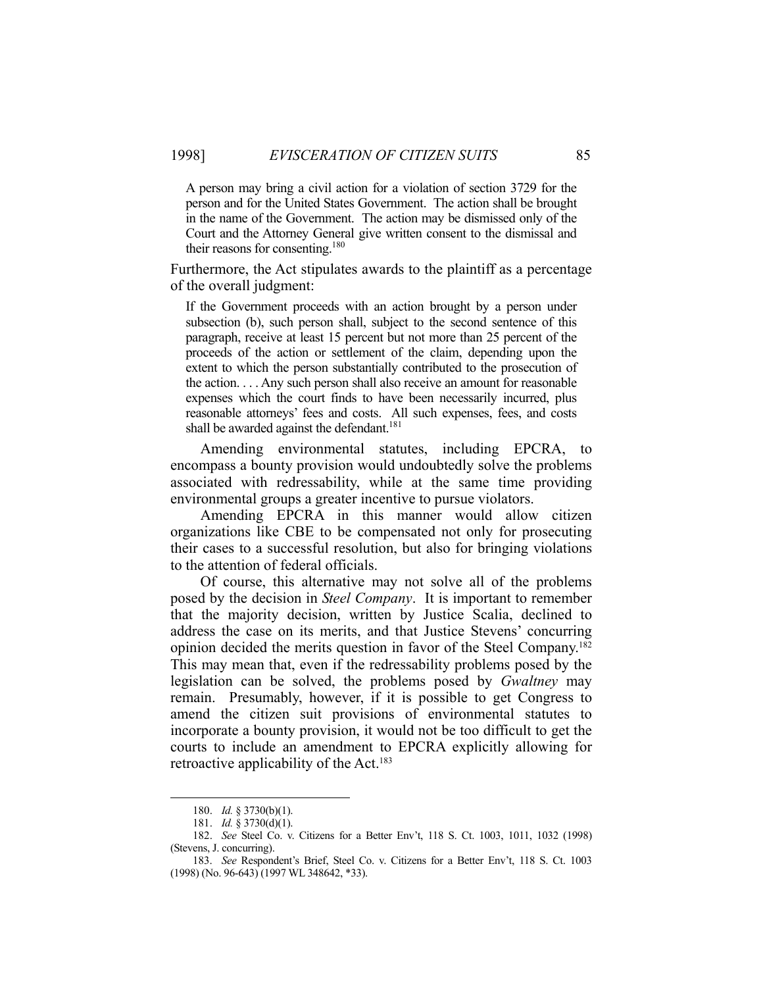A person may bring a civil action for a violation of section 3729 for the person and for the United States Government. The action shall be brought in the name of the Government. The action may be dismissed only of the Court and the Attorney General give written consent to the dismissal and their reasons for consenting.180

Furthermore, the Act stipulates awards to the plaintiff as a percentage of the overall judgment:

If the Government proceeds with an action brought by a person under subsection (b), such person shall, subject to the second sentence of this paragraph, receive at least 15 percent but not more than 25 percent of the proceeds of the action or settlement of the claim, depending upon the extent to which the person substantially contributed to the prosecution of the action. . . . Any such person shall also receive an amount for reasonable expenses which the court finds to have been necessarily incurred, plus reasonable attorneys' fees and costs. All such expenses, fees, and costs shall be awarded against the defendant.<sup>181</sup>

 Amending environmental statutes, including EPCRA, to encompass a bounty provision would undoubtedly solve the problems associated with redressability, while at the same time providing environmental groups a greater incentive to pursue violators.

 Amending EPCRA in this manner would allow citizen organizations like CBE to be compensated not only for prosecuting their cases to a successful resolution, but also for bringing violations to the attention of federal officials.

 Of course, this alternative may not solve all of the problems posed by the decision in *Steel Company*. It is important to remember that the majority decision, written by Justice Scalia, declined to address the case on its merits, and that Justice Stevens' concurring opinion decided the merits question in favor of the Steel Company.182 This may mean that, even if the redressability problems posed by the legislation can be solved, the problems posed by *Gwaltney* may remain. Presumably, however, if it is possible to get Congress to amend the citizen suit provisions of environmental statutes to incorporate a bounty provision, it would not be too difficult to get the courts to include an amendment to EPCRA explicitly allowing for retroactive applicability of the Act.<sup>183</sup>

 <sup>180.</sup> *Id.* § 3730(b)(1).

 <sup>181.</sup> *Id.* § 3730(d)(1).

 <sup>182.</sup> *See* Steel Co. v. Citizens for a Better Env't, 118 S. Ct. 1003, 1011, 1032 (1998) (Stevens, J. concurring).

 <sup>183.</sup> *See* Respondent's Brief, Steel Co. v. Citizens for a Better Env't, 118 S. Ct. 1003 (1998) (No. 96-643) (1997 WL 348642, \*33).